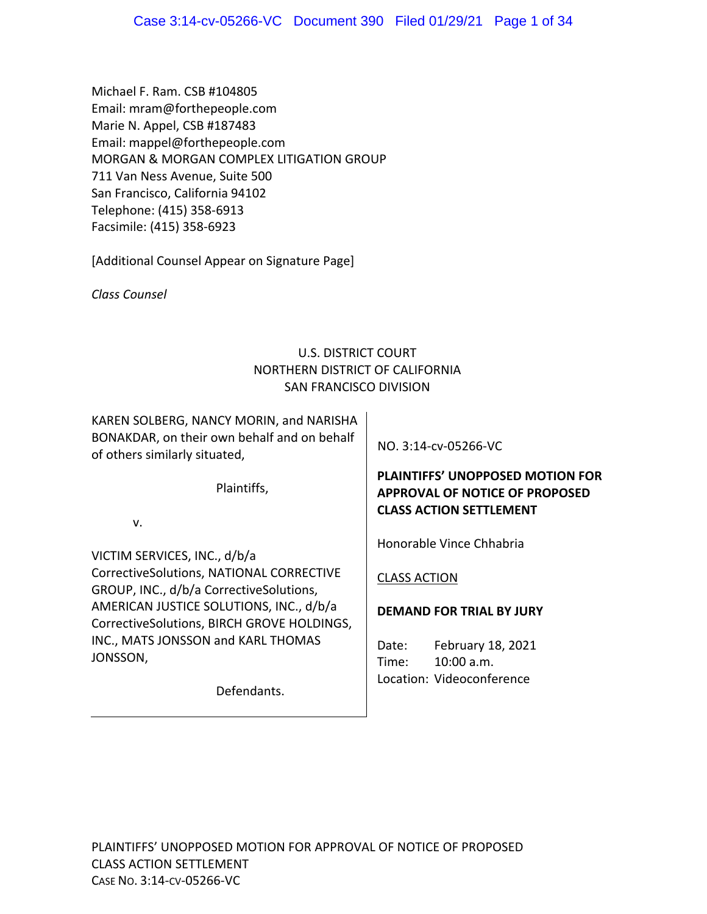Michael F. Ram. CSB #104805 Email: mram@forthepeople.com Marie N. Appel, CSB #187483 Email: mappel@forthepeople.com MORGAN & MORGAN COMPLEX LITIGATION GROUP 711 Van Ness Avenue, Suite 500 San Francisco, California 94102 Telephone: (415) 358‐6913 Facsimile: (415) 358‐6923

[Additional Counsel Appear on Signature Page]

*Class Counsel* 

## U.S. DISTRICT COURT NORTHERN DISTRICT OF CALIFORNIA SAN FRANCISCO DIVISION

KAREN SOLBERG, NANCY MORIN, and NARISHA BONAKDAR, on their own behalf and on behalf of others similarly situated,

Plaintiffs,

v.

VICTIM SERVICES, INC., d/b/a CorrectiveSolutions, NATIONAL CORRECTIVE GROUP, INC., d/b/a CorrectiveSolutions, AMERICAN JUSTICE SOLUTIONS, INC., d/b/a CorrectiveSolutions, BIRCH GROVE HOLDINGS, INC., MATS JONSSON and KARL THOMAS JONSSON,

Defendants.

NO. 3:14‐cv‐05266‐VC

# **PLAINTIFFS' UNOPPOSED MOTION FOR APPROVAL OF NOTICE OF PROPOSED CLASS ACTION SETTLEMENT**

Honorable Vince Chhabria

## CLASS ACTION

## **DEMAND FOR TRIAL BY JURY**

Date: February 18, 2021 Time: 10:00 a.m. Location: Videoconference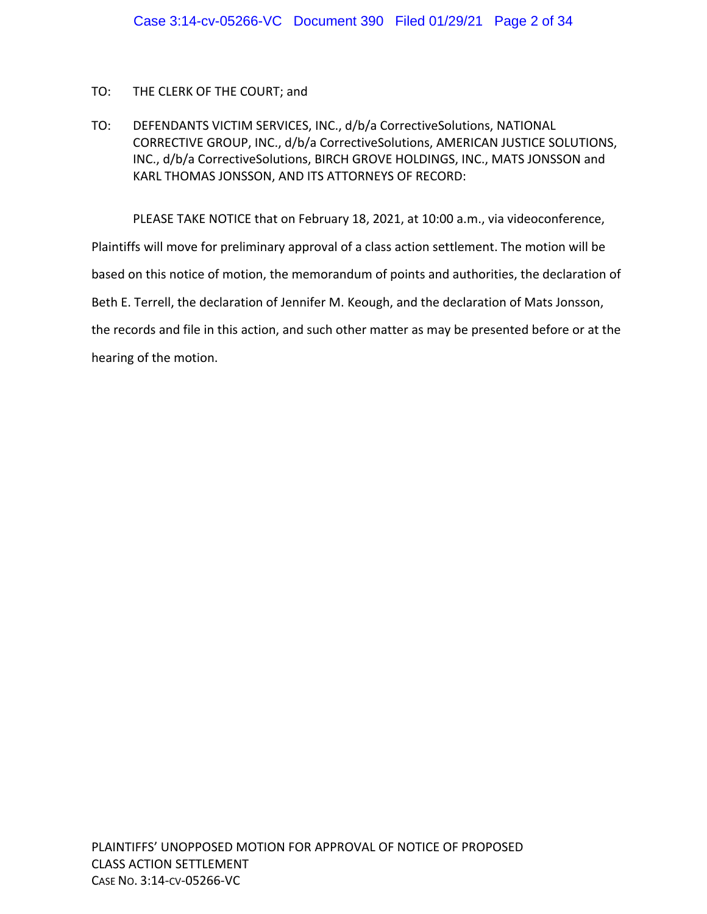## TO: THE CLERK OF THE COURT; and

TO: DEFENDANTS VICTIM SERVICES, INC., d/b/a CorrectiveSolutions, NATIONAL CORRECTIVE GROUP, INC., d/b/a CorrectiveSolutions, AMERICAN JUSTICE SOLUTIONS, INC., d/b/a CorrectiveSolutions, BIRCH GROVE HOLDINGS, INC., MATS JONSSON and KARL THOMAS JONSSON, AND ITS ATTORNEYS OF RECORD:

PLEASE TAKE NOTICE that on February 18, 2021, at 10:00 a.m., via videoconference, Plaintiffs will move for preliminary approval of a class action settlement. The motion will be based on this notice of motion, the memorandum of points and authorities, the declaration of Beth E. Terrell, the declaration of Jennifer M. Keough, and the declaration of Mats Jonsson, the records and file in this action, and such other matter as may be presented before or at the hearing of the motion.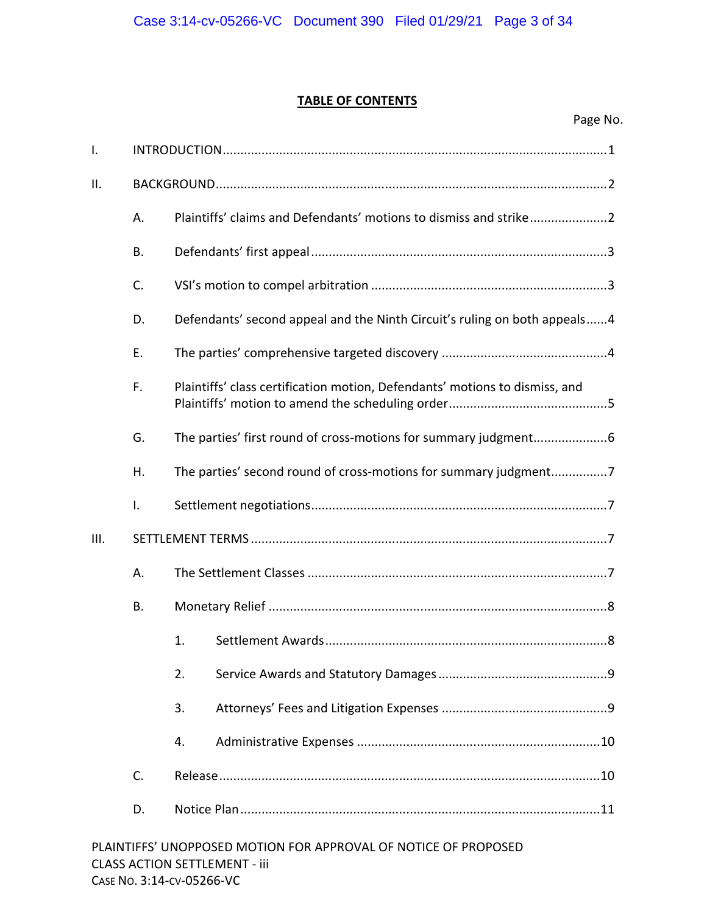## **TABLE OF CONTENTS**

| Ι.  |                |                                                                             |  |
|-----|----------------|-----------------------------------------------------------------------------|--|
| ΙΙ. |                |                                                                             |  |
|     | А.             | Plaintiffs' claims and Defendants' motions to dismiss and strike2           |  |
|     | В.             |                                                                             |  |
|     | C.             |                                                                             |  |
|     | D.             | Defendants' second appeal and the Ninth Circuit's ruling on both appeals4   |  |
|     | E.             |                                                                             |  |
|     | F.             | Plaintiffs' class certification motion, Defendants' motions to dismiss, and |  |
|     | G.             |                                                                             |  |
|     | Η.             | The parties' second round of cross-motions for summary judgment7            |  |
|     | $\mathsf{I}$ . |                                                                             |  |
| Ш.  |                |                                                                             |  |
|     | А.             |                                                                             |  |
|     | В.             |                                                                             |  |
|     |                | 1.                                                                          |  |
|     |                | 2.                                                                          |  |
|     |                | 3.                                                                          |  |
|     |                | 4.                                                                          |  |
|     | C.             |                                                                             |  |
|     | D.             |                                                                             |  |
|     |                | PLAINTIFFS' UNOPPOSED MOTION FOR APPROVAL OF NOTICE OF PROPOSED             |  |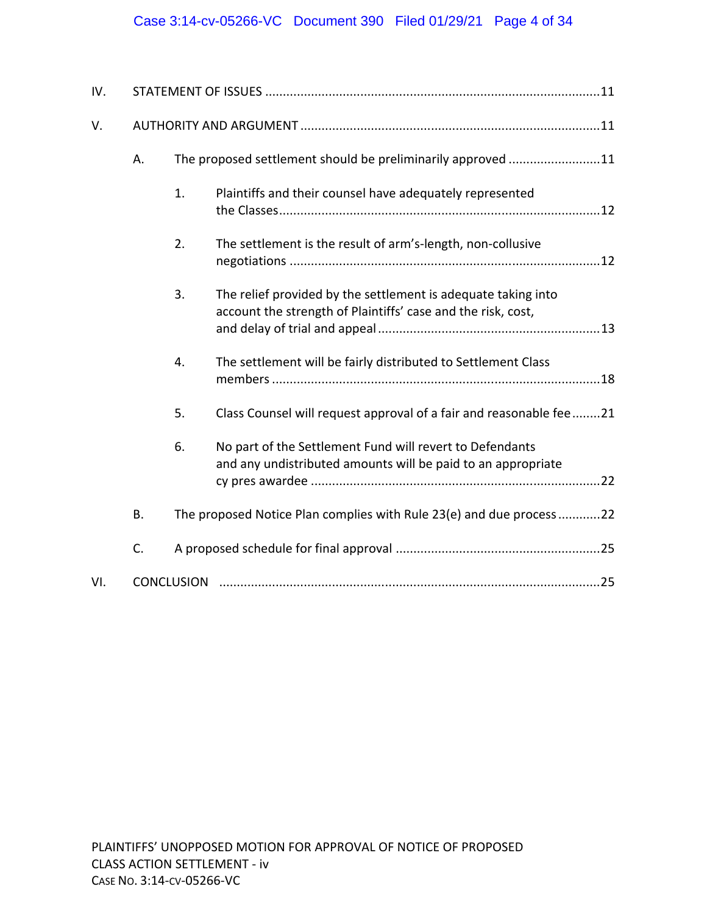# Case 3:14-cv-05266-VC Document 390 Filed 01/29/21 Page 4 of 34

| IV. |           |                   |                                                                                                                               |  |  |  |
|-----|-----------|-------------------|-------------------------------------------------------------------------------------------------------------------------------|--|--|--|
| V.  |           |                   |                                                                                                                               |  |  |  |
|     | А.        |                   | The proposed settlement should be preliminarily approved 11                                                                   |  |  |  |
|     |           | 1.                | Plaintiffs and their counsel have adequately represented                                                                      |  |  |  |
|     |           | 2.                | The settlement is the result of arm's-length, non-collusive                                                                   |  |  |  |
|     |           | 3.                | The relief provided by the settlement is adequate taking into<br>account the strength of Plaintiffs' case and the risk, cost, |  |  |  |
|     |           | 4.                | The settlement will be fairly distributed to Settlement Class                                                                 |  |  |  |
|     |           | 5.                | Class Counsel will request approval of a fair and reasonable fee 21                                                           |  |  |  |
|     |           | 6.                | No part of the Settlement Fund will revert to Defendants<br>and any undistributed amounts will be paid to an appropriate      |  |  |  |
|     | <b>B.</b> |                   | The proposed Notice Plan complies with Rule 23(e) and due process22                                                           |  |  |  |
|     | C.        |                   |                                                                                                                               |  |  |  |
| VI. |           | <b>CONCLUSION</b> |                                                                                                                               |  |  |  |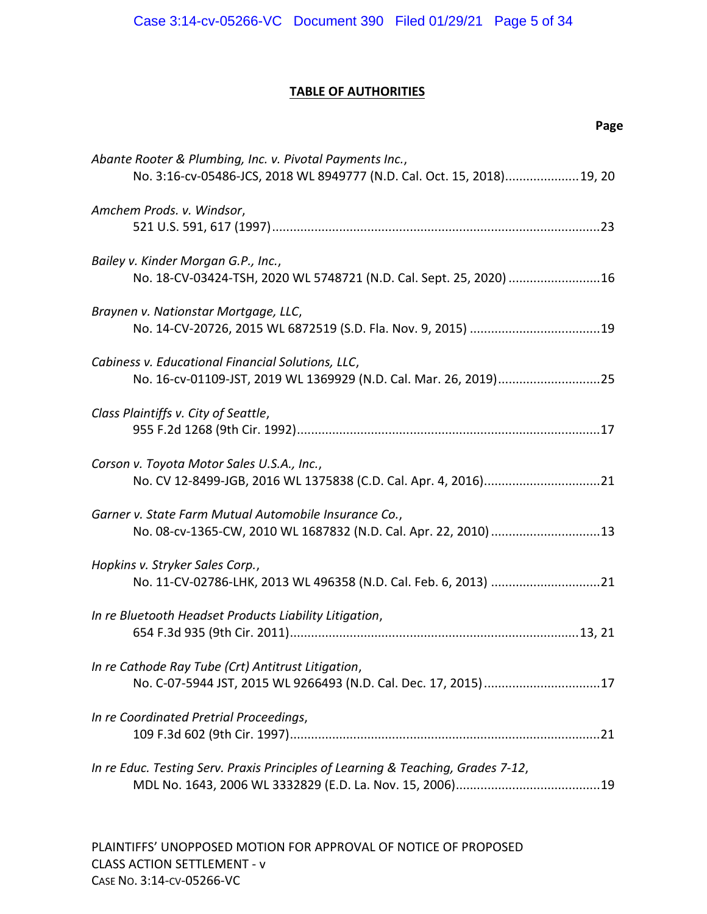## **TABLE OF AUTHORITIES**

| Page                                                                                                                               |  |
|------------------------------------------------------------------------------------------------------------------------------------|--|
| Abante Rooter & Plumbing, Inc. v. Pivotal Payments Inc.,<br>No. 3:16-cv-05486-JCS, 2018 WL 8949777 (N.D. Cal. Oct. 15, 2018)19, 20 |  |
| Amchem Prods. v. Windsor,                                                                                                          |  |
| Bailey v. Kinder Morgan G.P., Inc.,<br>No. 18-CV-03424-TSH, 2020 WL 5748721 (N.D. Cal. Sept. 25, 2020) 16                          |  |
| Braynen v. Nationstar Mortgage, LLC,                                                                                               |  |
| Cabiness v. Educational Financial Solutions, LLC,                                                                                  |  |
| Class Plaintiffs v. City of Seattle,                                                                                               |  |
| Corson v. Toyota Motor Sales U.S.A., Inc.,                                                                                         |  |
| Garner v. State Farm Mutual Automobile Insurance Co.,<br>No. 08-cv-1365-CW, 2010 WL 1687832 (N.D. Cal. Apr. 22, 2010) 13           |  |
| Hopkins v. Stryker Sales Corp.,                                                                                                    |  |
| In re Bluetooth Headset Products Liability Litigation,                                                                             |  |
| In re Cathode Ray Tube (Crt) Antitrust Litigation,<br>No. C-07-5944 JST, 2015 WL 9266493 (N.D. Cal. Dec. 17, 2015)17               |  |
| In re Coordinated Pretrial Proceedings,                                                                                            |  |
| In re Educ. Testing Serv. Praxis Principles of Learning & Teaching, Grades 7-12,                                                   |  |

PLAINTIFFS' UNOPPOSED MOTION FOR APPROVAL OF NOTICE OF PROPOSED CLASS ACTION SETTLEMENT ‐ v CASE NO. 3:14‐CV‐05266‐VC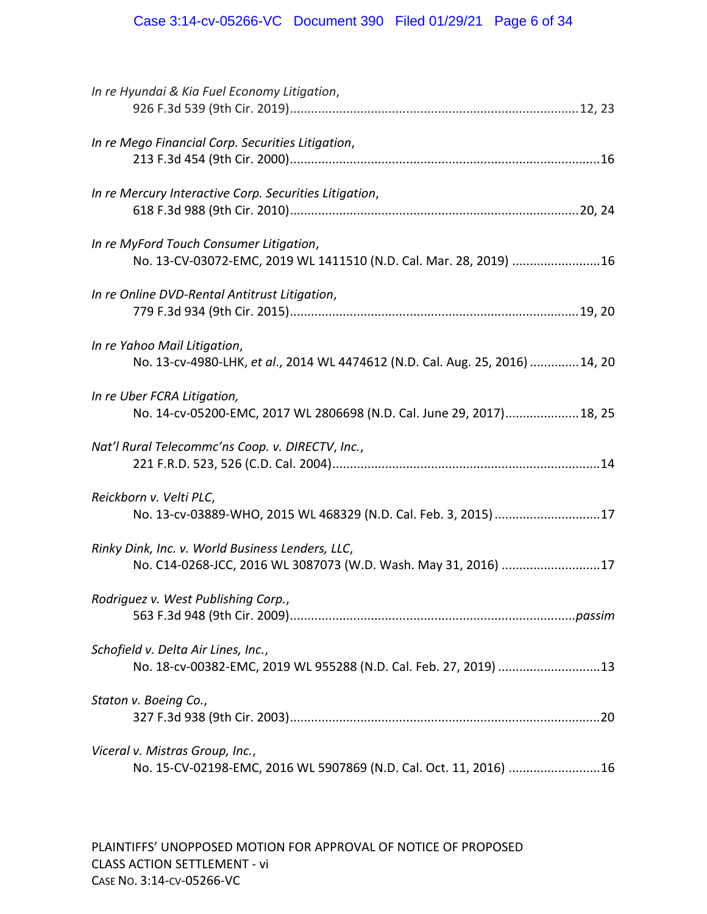| In re Hyundai & Kia Fuel Economy Litigation,                                                                       |
|--------------------------------------------------------------------------------------------------------------------|
| In re Mego Financial Corp. Securities Litigation,                                                                  |
| In re Mercury Interactive Corp. Securities Litigation,                                                             |
| In re MyFord Touch Consumer Litigation,<br>No. 13-CV-03072-EMC, 2019 WL 1411510 (N.D. Cal. Mar. 28, 2019) 16       |
| In re Online DVD-Rental Antitrust Litigation,                                                                      |
| In re Yahoo Mail Litigation,<br>No. 13-cv-4980-LHK, et al., 2014 WL 4474612 (N.D. Cal. Aug. 25, 2016)  14, 20      |
| In re Uber FCRA Litigation,<br>No. 14-cv-05200-EMC, 2017 WL 2806698 (N.D. Cal. June 29, 2017) 18, 25               |
| Nat'l Rural Telecommc'ns Coop. v. DIRECTV, Inc.,                                                                   |
| Reickborn v. Velti PLC,<br>No. 13-cv-03889-WHO, 2015 WL 468329 (N.D. Cal. Feb. 3, 2015)17                          |
| Rinky Dink, Inc. v. World Business Lenders, LLC,<br>No. C14-0268-JCC, 2016 WL 3087073 (W.D. Wash. May 31, 2016) 17 |
| Rodriquez v. West Publishing Corp.,                                                                                |
| Schofield v. Delta Air Lines, Inc.,<br>No. 18-cv-00382-EMC, 2019 WL 955288 (N.D. Cal. Feb. 27, 2019) 13            |
| Staton v. Boeing Co.,                                                                                              |
| Viceral v. Mistras Group, Inc.,<br>No. 15-CV-02198-EMC, 2016 WL 5907869 (N.D. Cal. Oct. 11, 2016) 16               |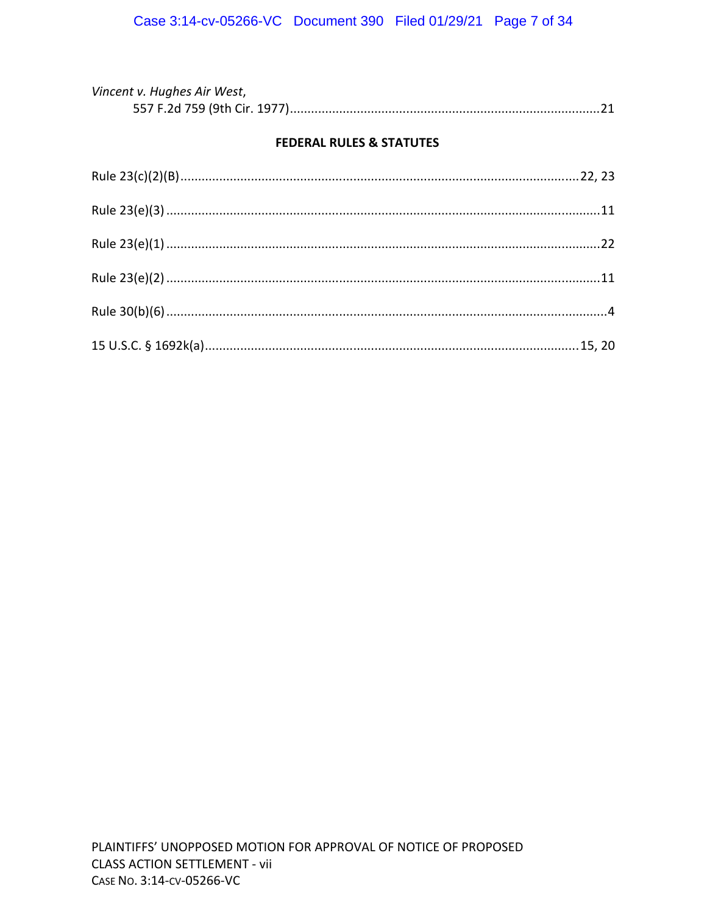| Vincent v. Hughes Air West, |  |
|-----------------------------|--|
|                             |  |

## **FEDERAL RULES & STATUTES**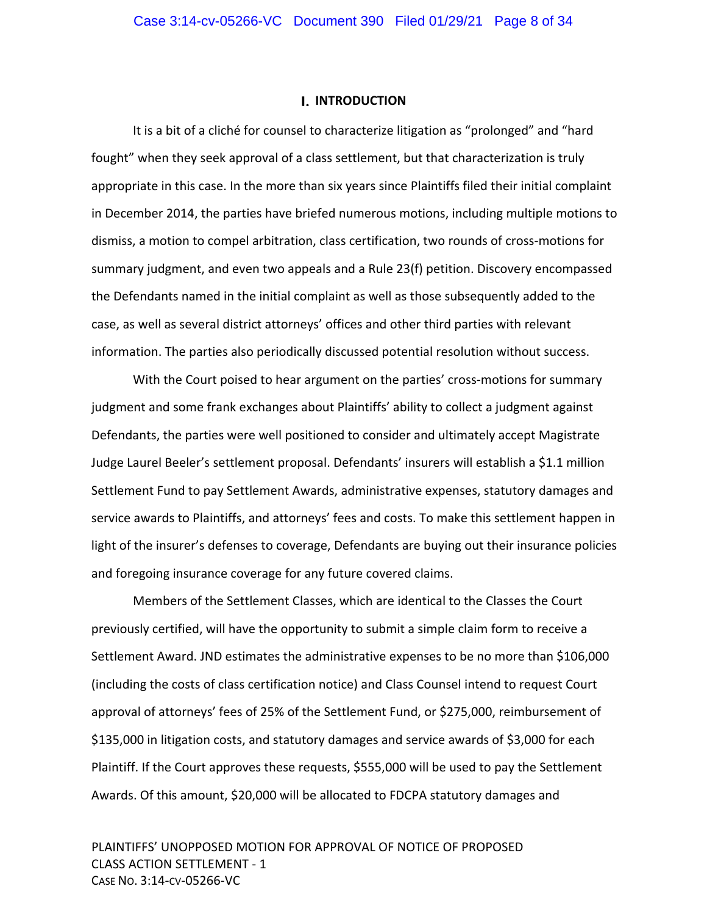#### **I. INTRODUCTION**

It is a bit of a cliché for counsel to characterize litigation as "prolonged" and "hard fought" when they seek approval of a class settlement, but that characterization is truly appropriate in this case. In the more than six years since Plaintiffs filed their initial complaint in December 2014, the parties have briefed numerous motions, including multiple motions to dismiss, a motion to compel arbitration, class certification, two rounds of cross‐motions for summary judgment, and even two appeals and a Rule 23(f) petition. Discovery encompassed the Defendants named in the initial complaint as well as those subsequently added to the case, as well as several district attorneys' offices and other third parties with relevant information. The parties also periodically discussed potential resolution without success.

With the Court poised to hear argument on the parties' cross-motions for summary judgment and some frank exchanges about Plaintiffs' ability to collect a judgment against Defendants, the parties were well positioned to consider and ultimately accept Magistrate Judge Laurel Beeler's settlement proposal. Defendants' insurers will establish a \$1.1 million Settlement Fund to pay Settlement Awards, administrative expenses, statutory damages and service awards to Plaintiffs, and attorneys' fees and costs. To make this settlement happen in light of the insurer's defenses to coverage, Defendants are buying out their insurance policies and foregoing insurance coverage for any future covered claims.

Members of the Settlement Classes, which are identical to the Classes the Court previously certified, will have the opportunity to submit a simple claim form to receive a Settlement Award. JND estimates the administrative expenses to be no more than \$106,000 (including the costs of class certification notice) and Class Counsel intend to request Court approval of attorneys' fees of 25% of the Settlement Fund, or \$275,000, reimbursement of \$135,000 in litigation costs, and statutory damages and service awards of \$3,000 for each Plaintiff. If the Court approves these requests, \$555,000 will be used to pay the Settlement Awards. Of this amount, \$20,000 will be allocated to FDCPA statutory damages and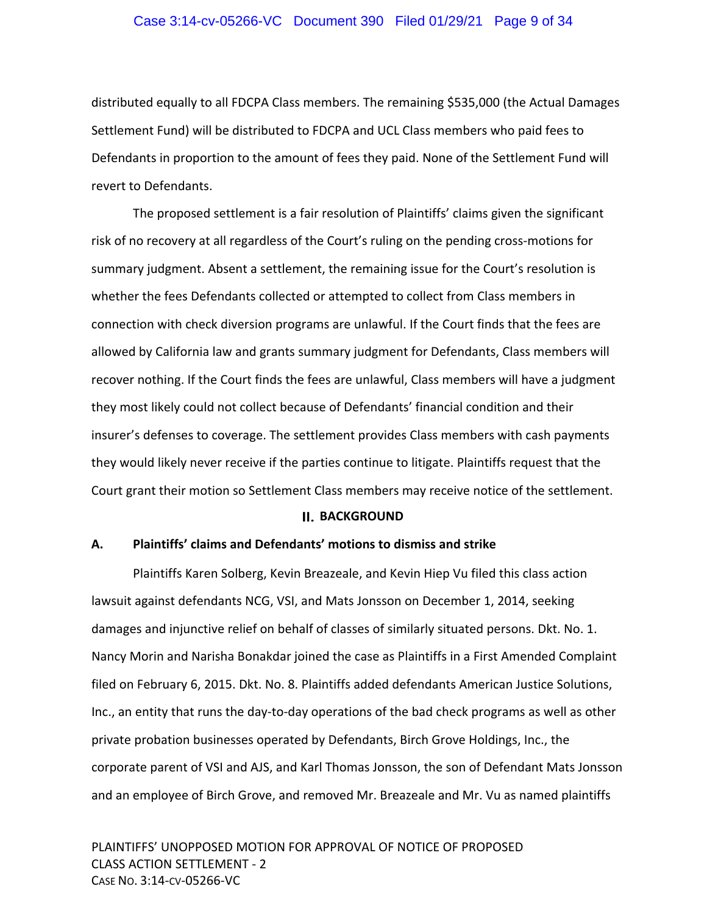#### Case 3:14-cv-05266-VC Document 390 Filed 01/29/21 Page 9 of 34

distributed equally to all FDCPA Class members. The remaining \$535,000 (the Actual Damages Settlement Fund) will be distributed to FDCPA and UCL Class members who paid fees to Defendants in proportion to the amount of fees they paid. None of the Settlement Fund will revert to Defendants.

The proposed settlement is a fair resolution of Plaintiffs' claims given the significant risk of no recovery at all regardless of the Court's ruling on the pending cross-motions for summary judgment. Absent a settlement, the remaining issue for the Court's resolution is whether the fees Defendants collected or attempted to collect from Class members in connection with check diversion programs are unlawful. If the Court finds that the fees are allowed by California law and grants summary judgment for Defendants, Class members will recover nothing. If the Court finds the fees are unlawful, Class members will have a judgment they most likely could not collect because of Defendants' financial condition and their insurer's defenses to coverage. The settlement provides Class members with cash payments they would likely never receive if the parties continue to litigate. Plaintiffs request that the Court grant their motion so Settlement Class members may receive notice of the settlement.

#### **BACKGROUND**

## **A. Plaintiffs' claims and Defendants' motions to dismiss and strike**

Plaintiffs Karen Solberg, Kevin Breazeale, and Kevin Hiep Vu filed this class action lawsuit against defendants NCG, VSI, and Mats Jonsson on December 1, 2014, seeking damages and injunctive relief on behalf of classes of similarly situated persons. Dkt. No. 1. Nancy Morin and Narisha Bonakdar joined the case as Plaintiffs in a First Amended Complaint filed on February 6, 2015. Dkt. No. 8. Plaintiffs added defendants American Justice Solutions, Inc., an entity that runs the day‐to‐day operations of the bad check programs as well as other private probation businesses operated by Defendants, Birch Grove Holdings, Inc., the corporate parent of VSI and AJS, and Karl Thomas Jonsson, the son of Defendant Mats Jonsson and an employee of Birch Grove, and removed Mr. Breazeale and Mr. Vu as named plaintiffs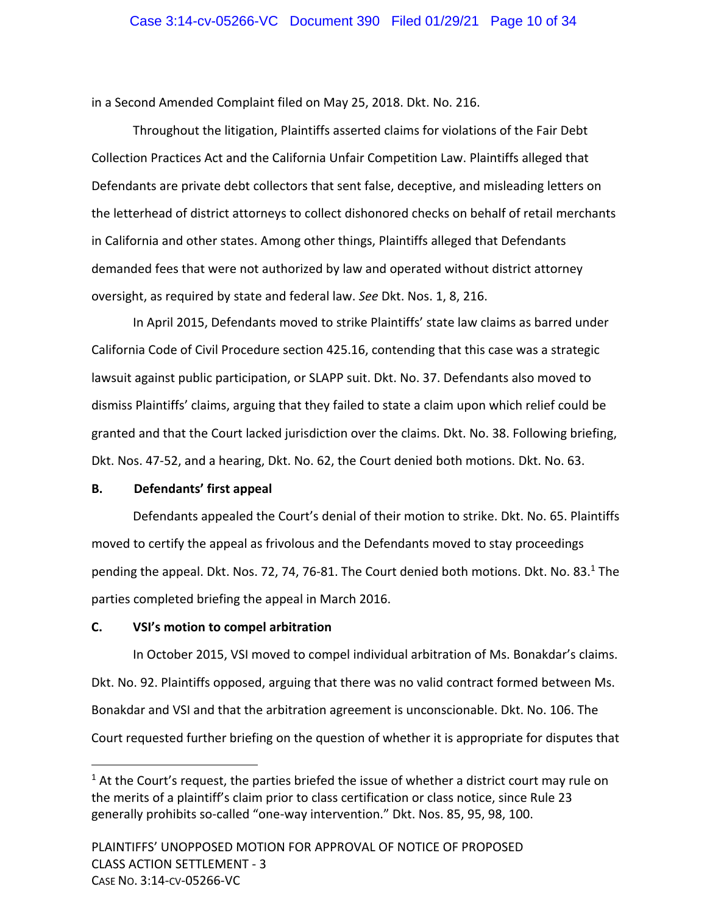## Case 3:14-cv-05266-VC Document 390 Filed 01/29/21 Page 10 of 34

in a Second Amended Complaint filed on May 25, 2018. Dkt. No. 216.

Throughout the litigation, Plaintiffs asserted claims for violations of the Fair Debt Collection Practices Act and the California Unfair Competition Law. Plaintiffs alleged that Defendants are private debt collectors that sent false, deceptive, and misleading letters on the letterhead of district attorneys to collect dishonored checks on behalf of retail merchants in California and other states. Among other things, Plaintiffs alleged that Defendants demanded fees that were not authorized by law and operated without district attorney oversight, as required by state and federal law. *See* Dkt. Nos. 1, 8, 216.

In April 2015, Defendants moved to strike Plaintiffs' state law claims as barred under California Code of Civil Procedure section 425.16, contending that this case was a strategic lawsuit against public participation, or SLAPP suit. Dkt. No. 37. Defendants also moved to dismiss Plaintiffs' claims, arguing that they failed to state a claim upon which relief could be granted and that the Court lacked jurisdiction over the claims. Dkt. No. 38. Following briefing, Dkt. Nos. 47‐52, and a hearing, Dkt. No. 62, the Court denied both motions. Dkt. No. 63.

#### **B. Defendants' first appeal**

Defendants appealed the Court's denial of their motion to strike. Dkt. No. 65. Plaintiffs moved to certify the appeal as frivolous and the Defendants moved to stay proceedings pending the appeal. Dkt. Nos. 72, 74, 76-81. The Court denied both motions. Dkt. No. 83.<sup>1</sup> The parties completed briefing the appeal in March 2016.

## **C. VSI's motion to compel arbitration**

In October 2015, VSI moved to compel individual arbitration of Ms. Bonakdar's claims. Dkt. No. 92. Plaintiffs opposed, arguing that there was no valid contract formed between Ms. Bonakdar and VSI and that the arbitration agreement is unconscionable. Dkt. No. 106. The Court requested further briefing on the question of whether it is appropriate for disputes that

 $1$  At the Court's request, the parties briefed the issue of whether a district court may rule on the merits of a plaintiff's claim prior to class certification or class notice, since Rule 23 generally prohibits so-called "one-way intervention." Dkt. Nos. 85, 95, 98, 100.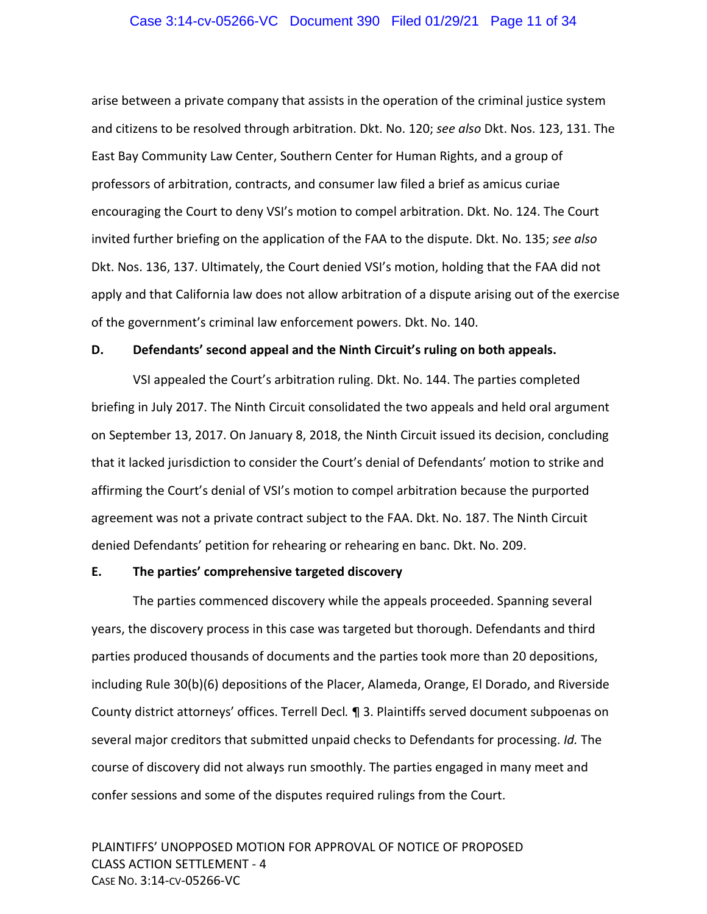#### Case 3:14-cv-05266-VC Document 390 Filed 01/29/21 Page 11 of 34

arise between a private company that assists in the operation of the criminal justice system and citizens to be resolved through arbitration. Dkt. No. 120; *see also* Dkt. Nos. 123, 131. The East Bay Community Law Center, Southern Center for Human Rights, and a group of professors of arbitration, contracts, and consumer law filed a brief as amicus curiae encouraging the Court to deny VSI's motion to compel arbitration. Dkt. No. 124. The Court invited further briefing on the application of the FAA to the dispute. Dkt. No. 135; *see also*  Dkt. Nos. 136, 137. Ultimately, the Court denied VSI's motion, holding that the FAA did not apply and that California law does not allow arbitration of a dispute arising out of the exercise of the government's criminal law enforcement powers. Dkt. No. 140.

#### **D. Defendants' second appeal and the Ninth Circuit's ruling on both appeals.**

VSI appealed the Court's arbitration ruling. Dkt. No. 144. The parties completed briefing in July 2017. The Ninth Circuit consolidated the two appeals and held oral argument on September 13, 2017. On January 8, 2018, the Ninth Circuit issued its decision, concluding that it lacked jurisdiction to consider the Court's denial of Defendants' motion to strike and affirming the Court's denial of VSI's motion to compel arbitration because the purported agreement was not a private contract subject to the FAA. Dkt. No. 187. The Ninth Circuit denied Defendants' petition for rehearing or rehearing en banc. Dkt. No. 209.

## **E. The parties' comprehensive targeted discovery**

The parties commenced discovery while the appeals proceeded. Spanning several years, the discovery process in this case was targeted but thorough. Defendants and third parties produced thousands of documents and the parties took more than 20 depositions, including Rule 30(b)(6) depositions of the Placer, Alameda, Orange, El Dorado, and Riverside County district attorneys' offices. Terrell Decl*.* ¶ 3. Plaintiffs served document subpoenas on several major creditors that submitted unpaid checks to Defendants for processing. *Id.* The course of discovery did not always run smoothly. The parties engaged in many meet and confer sessions and some of the disputes required rulings from the Court.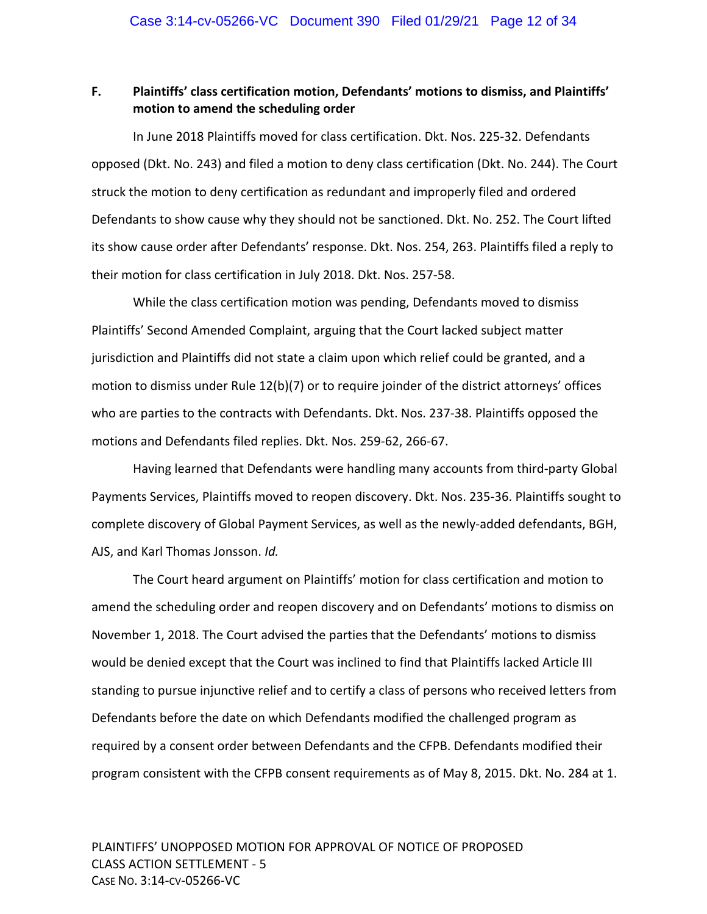## **F. Plaintiffs' class certification motion, Defendants' motions to dismiss, and Plaintiffs' motion to amend the scheduling order**

In June 2018 Plaintiffs moved for class certification. Dkt. Nos. 225‐32. Defendants opposed (Dkt. No. 243) and filed a motion to deny class certification (Dkt. No. 244). The Court struck the motion to deny certification as redundant and improperly filed and ordered Defendants to show cause why they should not be sanctioned. Dkt. No. 252. The Court lifted its show cause order after Defendants' response. Dkt. Nos. 254, 263. Plaintiffs filed a reply to their motion for class certification in July 2018. Dkt. Nos. 257‐58.

While the class certification motion was pending, Defendants moved to dismiss Plaintiffs' Second Amended Complaint, arguing that the Court lacked subject matter jurisdiction and Plaintiffs did not state a claim upon which relief could be granted, and a motion to dismiss under Rule 12(b)(7) or to require joinder of the district attorneys' offices who are parties to the contracts with Defendants. Dkt. Nos. 237‐38. Plaintiffs opposed the motions and Defendants filed replies. Dkt. Nos. 259‐62, 266‐67.

Having learned that Defendants were handling many accounts from third‐party Global Payments Services, Plaintiffs moved to reopen discovery. Dkt. Nos. 235‐36. Plaintiffs sought to complete discovery of Global Payment Services, as well as the newly-added defendants, BGH, AJS, and Karl Thomas Jonsson. *Id.*

The Court heard argument on Plaintiffs' motion for class certification and motion to amend the scheduling order and reopen discovery and on Defendants' motions to dismiss on November 1, 2018. The Court advised the parties that the Defendants' motions to dismiss would be denied except that the Court was inclined to find that Plaintiffs lacked Article III standing to pursue injunctive relief and to certify a class of persons who received letters from Defendants before the date on which Defendants modified the challenged program as required by a consent order between Defendants and the CFPB. Defendants modified their program consistent with the CFPB consent requirements as of May 8, 2015. Dkt. No. 284 at 1.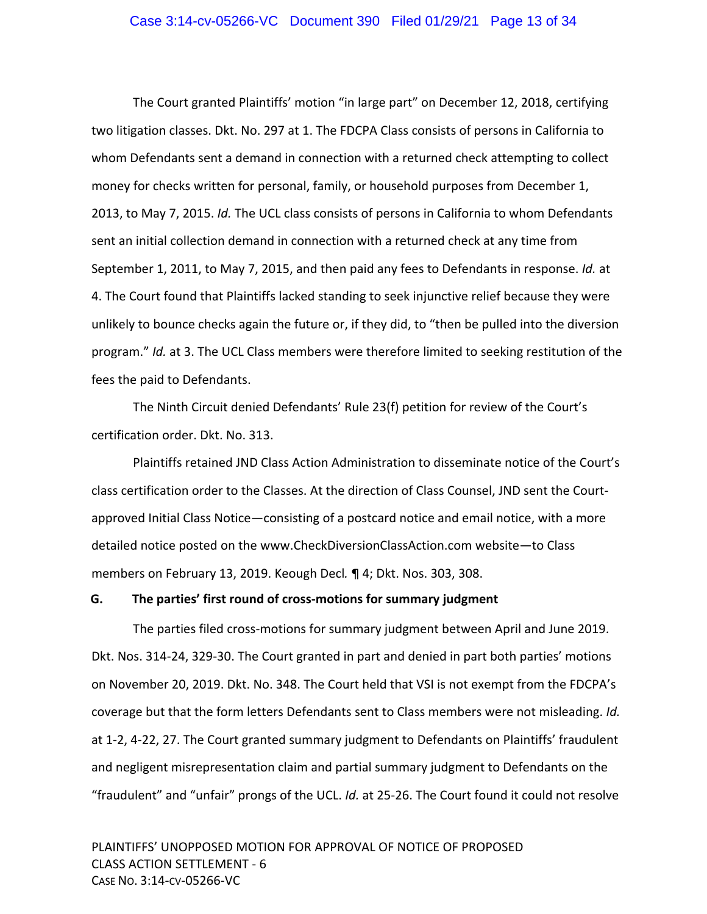#### Case 3:14-cv-05266-VC Document 390 Filed 01/29/21 Page 13 of 34

The Court granted Plaintiffs' motion "in large part" on December 12, 2018, certifying two litigation classes. Dkt. No. 297 at 1. The FDCPA Class consists of persons in California to whom Defendants sent a demand in connection with a returned check attempting to collect money for checks written for personal, family, or household purposes from December 1, 2013, to May 7, 2015. *Id.* The UCL class consists of persons in California to whom Defendants sent an initial collection demand in connection with a returned check at any time from September 1, 2011, to May 7, 2015, and then paid any fees to Defendants in response. *Id.* at 4. The Court found that Plaintiffs lacked standing to seek injunctive relief because they were unlikely to bounce checks again the future or, if they did, to "then be pulled into the diversion program." *Id.* at 3. The UCL Class members were therefore limited to seeking restitution of the fees the paid to Defendants.

The Ninth Circuit denied Defendants' Rule 23(f) petition for review of the Court's certification order. Dkt. No. 313.

Plaintiffs retained JND Class Action Administration to disseminate notice of the Court's class certification order to the Classes. At the direction of Class Counsel, JND sent the Court‐ approved Initial Class Notice—consisting of a postcard notice and email notice, with a more detailed notice posted on the www.CheckDiversionClassAction.com website—to Class members on February 13, 2019. Keough Decl*.* ¶ 4; Dkt. Nos. 303, 308.

#### **G. The parties' first round of cross‐motions for summary judgment**

The parties filed cross‐motions for summary judgment between April and June 2019. Dkt. Nos. 314‐24, 329‐30. The Court granted in part and denied in part both parties' motions on November 20, 2019. Dkt. No. 348. The Court held that VSI is not exempt from the FDCPA's coverage but that the form letters Defendants sent to Class members were not misleading. *Id.* at 1‐2, 4‐22, 27. The Court granted summary judgment to Defendants on Plaintiffs' fraudulent and negligent misrepresentation claim and partial summary judgment to Defendants on the "fraudulent" and "unfair" prongs of the UCL. *Id.* at 25‐26. The Court found it could not resolve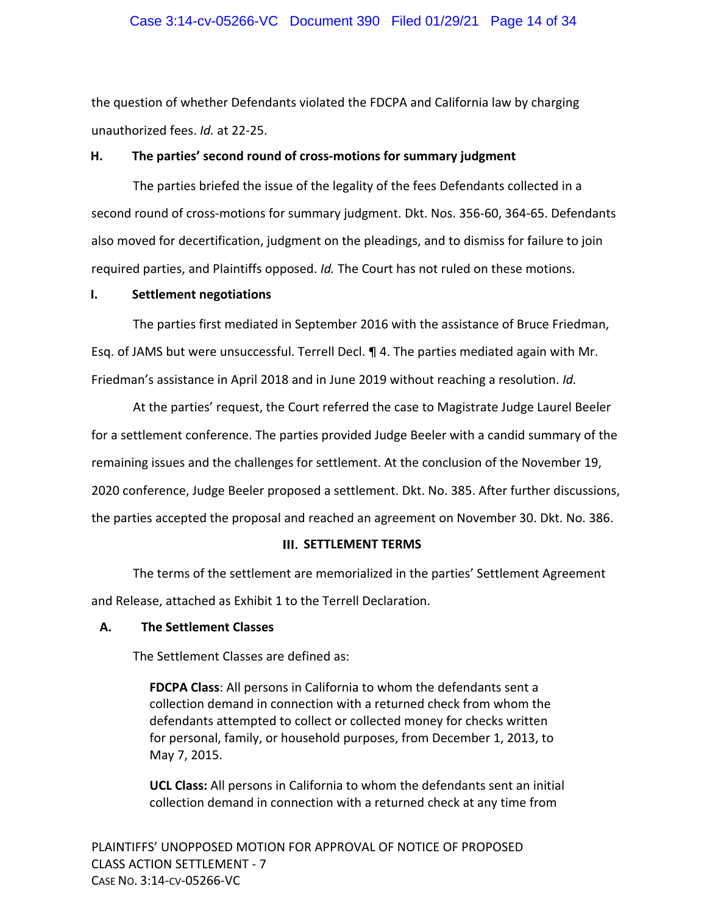## Case 3:14-cv-05266-VC Document 390 Filed 01/29/21 Page 14 of 34

the question of whether Defendants violated the FDCPA and California law by charging unauthorized fees. *Id.* at 22‐25.

### **H. The parties' second round of cross‐motions for summary judgment**

The parties briefed the issue of the legality of the fees Defendants collected in a second round of cross‐motions for summary judgment. Dkt. Nos. 356‐60, 364‐65. Defendants also moved for decertification, judgment on the pleadings, and to dismiss for failure to join required parties, and Plaintiffs opposed. *Id.* The Court has not ruled on these motions.

#### **I. Settlement negotiations**

The parties first mediated in September 2016 with the assistance of Bruce Friedman, Esq. of JAMS but were unsuccessful. Terrell Decl. ¶ 4. The parties mediated again with Mr. Friedman's assistance in April 2018 and in June 2019 without reaching a resolution. *Id.*

At the parties' request, the Court referred the case to Magistrate Judge Laurel Beeler for a settlement conference. The parties provided Judge Beeler with a candid summary of the remaining issues and the challenges for settlement. At the conclusion of the November 19, 2020 conference, Judge Beeler proposed a settlement. Dkt. No. 385. After further discussions, the parties accepted the proposal and reached an agreement on November 30. Dkt. No. 386.

### **III. SETTLEMENT TERMS**

The terms of the settlement are memorialized in the parties' Settlement Agreement and Release, attached as Exhibit 1 to the Terrell Declaration.

## **A. The Settlement Classes**

The Settlement Classes are defined as:

**FDCPA Class**: All persons in California to whom the defendants sent a collection demand in connection with a returned check from whom the defendants attempted to collect or collected money for checks written for personal, family, or household purposes, from December 1, 2013, to May 7, 2015.

**UCL Class:** All persons in California to whom the defendants sent an initial collection demand in connection with a returned check at any time from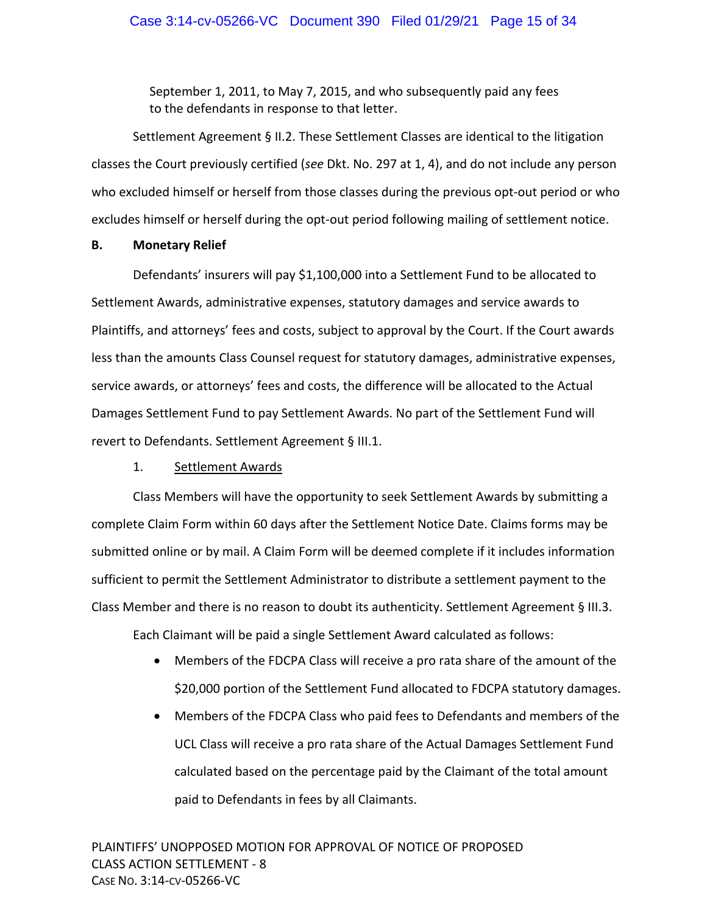September 1, 2011, to May 7, 2015, and who subsequently paid any fees to the defendants in response to that letter.

Settlement Agreement § II.2. These Settlement Classes are identical to the litigation classes the Court previously certified (*see* Dkt. No. 297 at 1, 4), and do not include any person who excluded himself or herself from those classes during the previous opt-out period or who excludes himself or herself during the opt-out period following mailing of settlement notice.

### **B. Monetary Relief**

Defendants' insurers will pay \$1,100,000 into a Settlement Fund to be allocated to Settlement Awards, administrative expenses, statutory damages and service awards to Plaintiffs, and attorneys' fees and costs, subject to approval by the Court. If the Court awards less than the amounts Class Counsel request for statutory damages, administrative expenses, service awards, or attorneys' fees and costs, the difference will be allocated to the Actual Damages Settlement Fund to pay Settlement Awards. No part of the Settlement Fund will revert to Defendants. Settlement Agreement § III.1.

## 1. Settlement Awards

Class Members will have the opportunity to seek Settlement Awards by submitting a complete Claim Form within 60 days after the Settlement Notice Date. Claims forms may be submitted online or by mail. A Claim Form will be deemed complete if it includes information sufficient to permit the Settlement Administrator to distribute a settlement payment to the Class Member and there is no reason to doubt its authenticity. Settlement Agreement § III.3.

Each Claimant will be paid a single Settlement Award calculated as follows:

- Members of the FDCPA Class will receive a pro rata share of the amount of the \$20,000 portion of the Settlement Fund allocated to FDCPA statutory damages.
- Members of the FDCPA Class who paid fees to Defendants and members of the UCL Class will receive a pro rata share of the Actual Damages Settlement Fund calculated based on the percentage paid by the Claimant of the total amount paid to Defendants in fees by all Claimants.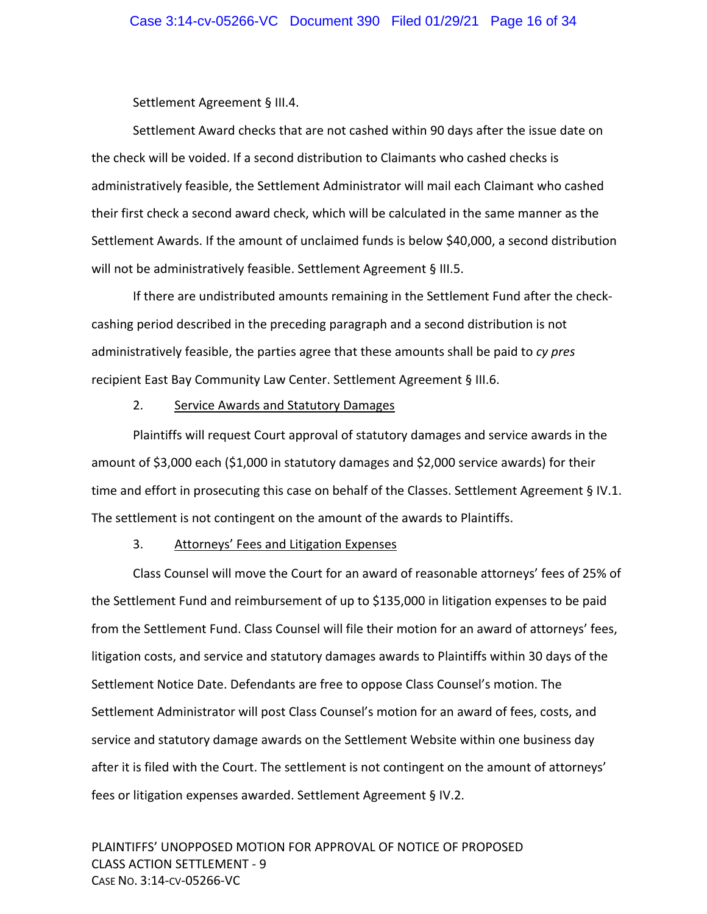Settlement Agreement § III.4.

Settlement Award checks that are not cashed within 90 days after the issue date on the check will be voided. If a second distribution to Claimants who cashed checks is administratively feasible, the Settlement Administrator will mail each Claimant who cashed their first check a second award check, which will be calculated in the same manner as the Settlement Awards. If the amount of unclaimed funds is below \$40,000, a second distribution will not be administratively feasible. Settlement Agreement § III.5.

If there are undistributed amounts remaining in the Settlement Fund after the check‐ cashing period described in the preceding paragraph and a second distribution is not administratively feasible, the parties agree that these amounts shall be paid to *cy pres* recipient East Bay Community Law Center. Settlement Agreement § III.6.

## 2. Service Awards and Statutory Damages

Plaintiffs will request Court approval of statutory damages and service awards in the amount of \$3,000 each (\$1,000 in statutory damages and \$2,000 service awards) for their time and effort in prosecuting this case on behalf of the Classes. Settlement Agreement § IV.1. The settlement is not contingent on the amount of the awards to Plaintiffs.

### 3. Attorneys' Fees and Litigation Expenses

Class Counsel will move the Court for an award of reasonable attorneys' fees of 25% of the Settlement Fund and reimbursement of up to \$135,000 in litigation expenses to be paid from the Settlement Fund. Class Counsel will file their motion for an award of attorneys' fees, litigation costs, and service and statutory damages awards to Plaintiffs within 30 days of the Settlement Notice Date. Defendants are free to oppose Class Counsel's motion. The Settlement Administrator will post Class Counsel's motion for an award of fees, costs, and service and statutory damage awards on the Settlement Website within one business day after it is filed with the Court. The settlement is not contingent on the amount of attorneys' fees or litigation expenses awarded. Settlement Agreement § IV.2.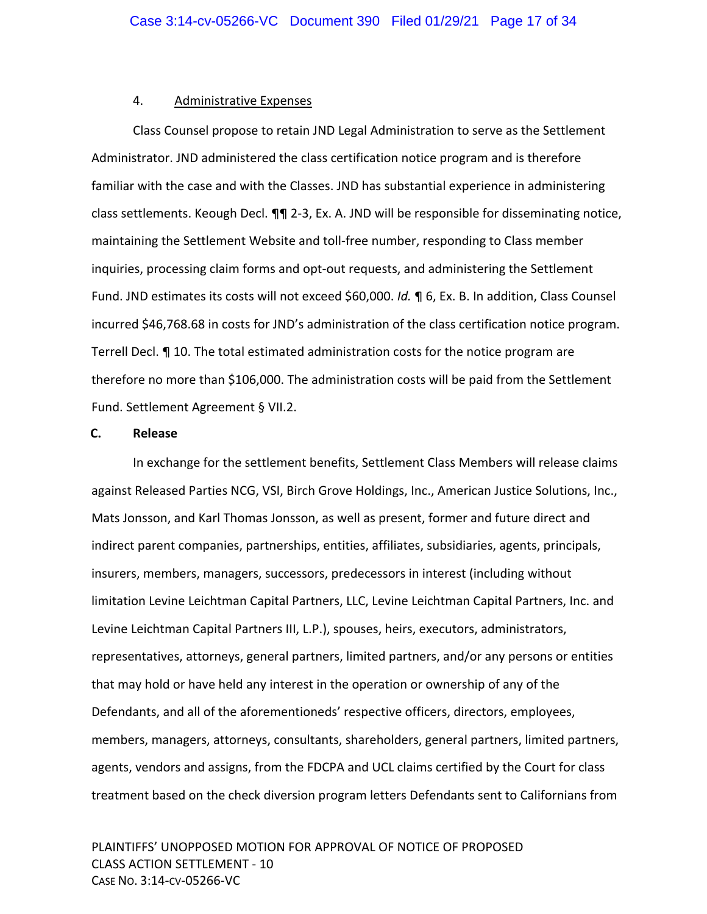### 4. Administrative Expenses

Class Counsel propose to retain JND Legal Administration to serve as the Settlement Administrator. JND administered the class certification notice program and is therefore familiar with the case and with the Classes. JND has substantial experience in administering class settlements. Keough Decl. ¶¶ 2‐3, Ex. A. JND will be responsible for disseminating notice, maintaining the Settlement Website and toll‐free number, responding to Class member inquiries, processing claim forms and opt‐out requests, and administering the Settlement Fund. JND estimates its costs will not exceed \$60,000. *Id.* ¶ 6, Ex. B. In addition, Class Counsel incurred \$46,768.68 in costs for JND's administration of the class certification notice program. Terrell Decl. ¶ 10. The total estimated administration costs for the notice program are therefore no more than \$106,000. The administration costs will be paid from the Settlement Fund. Settlement Agreement § VII.2.

#### **C. Release**

In exchange for the settlement benefits, Settlement Class Members will release claims against Released Parties NCG, VSI, Birch Grove Holdings, Inc., American Justice Solutions, Inc., Mats Jonsson, and Karl Thomas Jonsson, as well as present, former and future direct and indirect parent companies, partnerships, entities, affiliates, subsidiaries, agents, principals, insurers, members, managers, successors, predecessors in interest (including without limitation Levine Leichtman Capital Partners, LLC, Levine Leichtman Capital Partners, Inc. and Levine Leichtman Capital Partners III, L.P.), spouses, heirs, executors, administrators, representatives, attorneys, general partners, limited partners, and/or any persons or entities that may hold or have held any interest in the operation or ownership of any of the Defendants, and all of the aforementioneds' respective officers, directors, employees, members, managers, attorneys, consultants, shareholders, general partners, limited partners, agents, vendors and assigns, from the FDCPA and UCL claims certified by the Court for class treatment based on the check diversion program letters Defendants sent to Californians from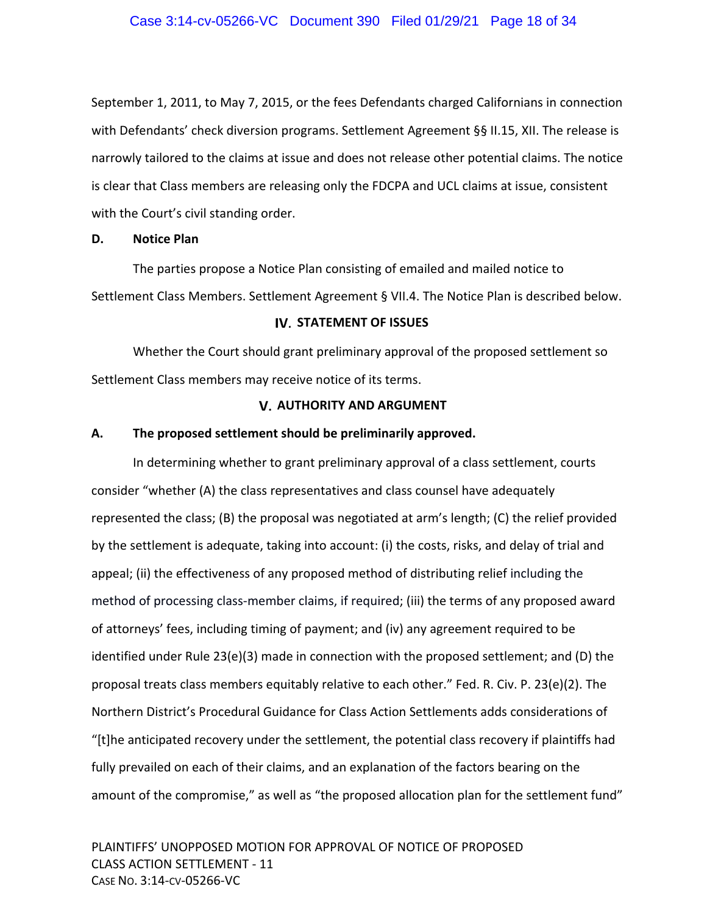September 1, 2011, to May 7, 2015, or the fees Defendants charged Californians in connection with Defendants' check diversion programs. Settlement Agreement §§ II.15, XII. The release is narrowly tailored to the claims at issue and does not release other potential claims. The notice is clear that Class members are releasing only the FDCPA and UCL claims at issue, consistent with the Court's civil standing order.

#### **D. Notice Plan**

The parties propose a Notice Plan consisting of emailed and mailed notice to Settlement Class Members. Settlement Agreement § VII.4. The Notice Plan is described below.

## **IV. STATEMENT OF ISSUES**

Whether the Court should grant preliminary approval of the proposed settlement so Settlement Class members may receive notice of its terms.

## **AUTHORITY AND ARGUMENT**

### **A. The proposed settlement should be preliminarily approved.**

In determining whether to grant preliminary approval of a class settlement, courts consider "whether (A) the class representatives and class counsel have adequately represented the class; (B) the proposal was negotiated at arm's length; (C) the relief provided by the settlement is adequate, taking into account: (i) the costs, risks, and delay of trial and appeal; (ii) the effectiveness of any proposed method of distributing relief including the method of processing class-member claims, if required; (iii) the terms of any proposed award of attorneys' fees, including timing of payment; and (iv) any agreement required to be identified under Rule 23(e)(3) made in connection with the proposed settlement; and (D) the proposal treats class members equitably relative to each other." Fed. R. Civ. P. 23(e)(2). The Northern District's Procedural Guidance for Class Action Settlements adds considerations of "[t]he anticipated recovery under the settlement, the potential class recovery if plaintiffs had fully prevailed on each of their claims, and an explanation of the factors bearing on the amount of the compromise," as well as "the proposed allocation plan for the settlement fund"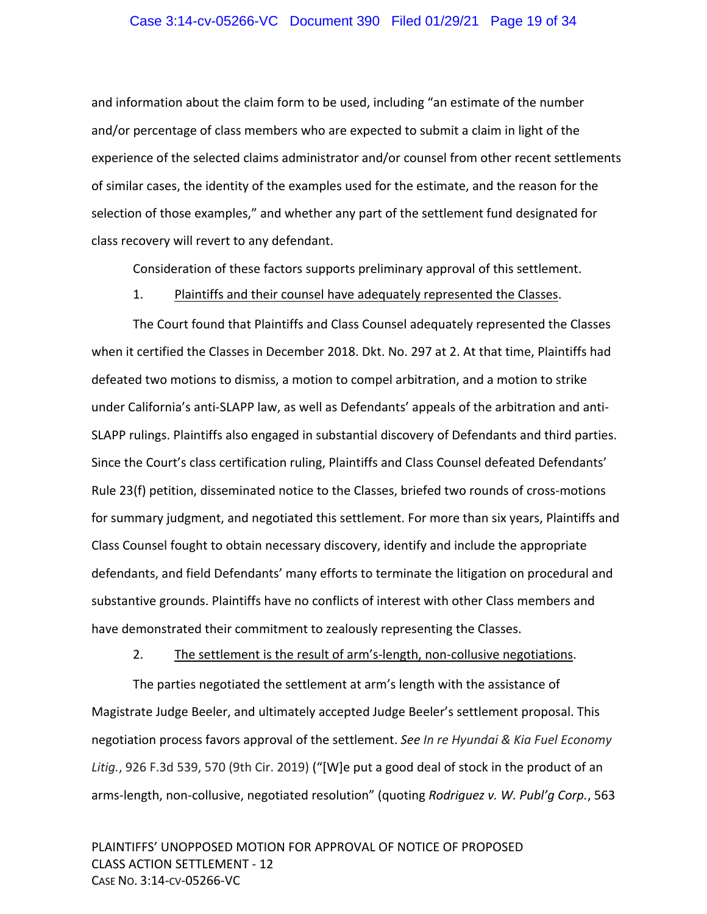#### Case 3:14-cv-05266-VC Document 390 Filed 01/29/21 Page 19 of 34

and information about the claim form to be used, including "an estimate of the number and/or percentage of class members who are expected to submit a claim in light of the experience of the selected claims administrator and/or counsel from other recent settlements of similar cases, the identity of the examples used for the estimate, and the reason for the selection of those examples," and whether any part of the settlement fund designated for class recovery will revert to any defendant.

Consideration of these factors supports preliminary approval of this settlement.

#### 1. Plaintiffs and their counsel have adequately represented the Classes.

The Court found that Plaintiffs and Class Counsel adequately represented the Classes when it certified the Classes in December 2018. Dkt. No. 297 at 2. At that time, Plaintiffs had defeated two motions to dismiss, a motion to compel arbitration, and a motion to strike under California's anti‐SLAPP law, as well as Defendants' appeals of the arbitration and anti‐ SLAPP rulings. Plaintiffs also engaged in substantial discovery of Defendants and third parties. Since the Court's class certification ruling, Plaintiffs and Class Counsel defeated Defendants' Rule 23(f) petition, disseminated notice to the Classes, briefed two rounds of cross-motions for summary judgment, and negotiated this settlement. For more than six years, Plaintiffs and Class Counsel fought to obtain necessary discovery, identify and include the appropriate defendants, and field Defendants' many efforts to terminate the litigation on procedural and substantive grounds. Plaintiffs have no conflicts of interest with other Class members and have demonstrated their commitment to zealously representing the Classes.

2. The settlement is the result of arm's-length, non-collusive negotiations.

The parties negotiated the settlement at arm's length with the assistance of Magistrate Judge Beeler, and ultimately accepted Judge Beeler's settlement proposal. This negotiation process favors approval of the settlement. *See In re Hyundai & Kia Fuel Economy Litig.*, 926 F.3d 539, 570 (9th Cir. 2019) ("[W]e put a good deal of stock in the product of an arms‐length, non‐collusive, negotiated resolution" (quoting *Rodriguez v. W. Publ'g Corp.*, 563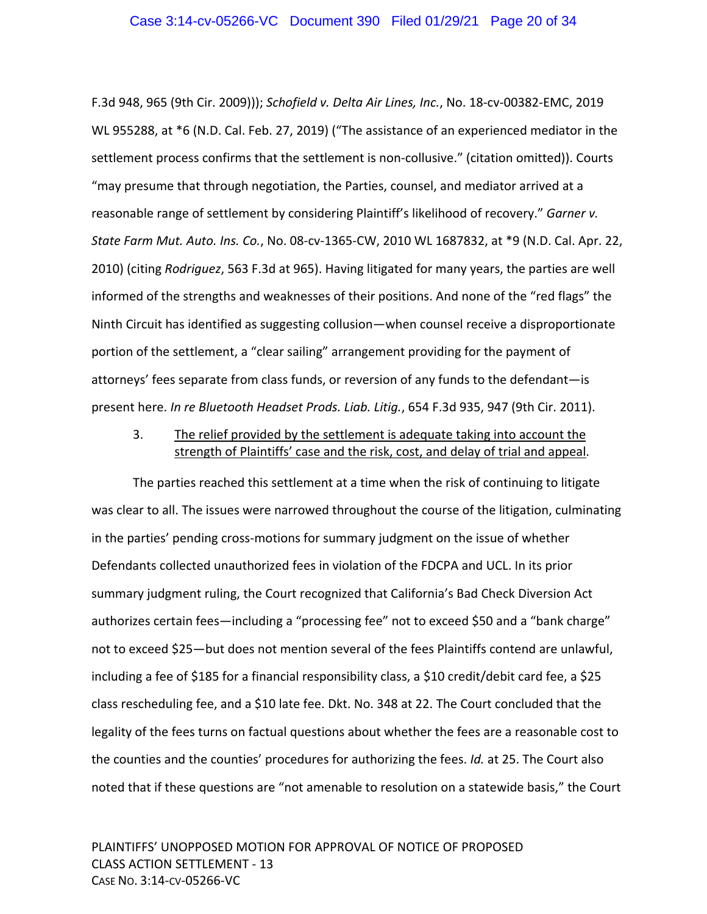F.3d 948, 965 (9th Cir. 2009))); *Schofield v. Delta Air Lines, Inc.*, No. 18‐cv‐00382‐EMC, 2019 WL 955288, at \*6 (N.D. Cal. Feb. 27, 2019) ("The assistance of an experienced mediator in the settlement process confirms that the settlement is non-collusive." (citation omitted)). Courts "may presume that through negotiation, the Parties, counsel, and mediator arrived at a reasonable range of settlement by considering Plaintiff's likelihood of recovery." *Garner v. State Farm Mut. Auto. Ins. Co.*, No. 08‐cv‐1365‐CW, 2010 WL 1687832, at \*9 (N.D. Cal. Apr. 22, 2010) (citing *Rodriguez*, 563 F.3d at 965). Having litigated for many years, the parties are well informed of the strengths and weaknesses of their positions. And none of the "red flags" the Ninth Circuit has identified as suggesting collusion—when counsel receive a disproportionate portion of the settlement, a "clear sailing" arrangement providing for the payment of attorneys' fees separate from class funds, or reversion of any funds to the defendant—is present here. *In re Bluetooth Headset Prods. Liab. Litig.*, 654 F.3d 935, 947 (9th Cir. 2011).

## 3. The relief provided by the settlement is adequate taking into account the strength of Plaintiffs' case and the risk, cost, and delay of trial and appeal.

The parties reached this settlement at a time when the risk of continuing to litigate was clear to all. The issues were narrowed throughout the course of the litigation, culminating in the parties' pending cross‐motions for summary judgment on the issue of whether Defendants collected unauthorized fees in violation of the FDCPA and UCL. In its prior summary judgment ruling, the Court recognized that California's Bad Check Diversion Act authorizes certain fees—including a "processing fee" not to exceed \$50 and a "bank charge" not to exceed \$25—but does not mention several of the fees Plaintiffs contend are unlawful, including a fee of \$185 for a financial responsibility class, a \$10 credit/debit card fee, a \$25 class rescheduling fee, and a \$10 late fee. Dkt. No. 348 at 22. The Court concluded that the legality of the fees turns on factual questions about whether the fees are a reasonable cost to the counties and the counties' procedures for authorizing the fees. *Id.* at 25. The Court also noted that if these questions are "not amenable to resolution on a statewide basis," the Court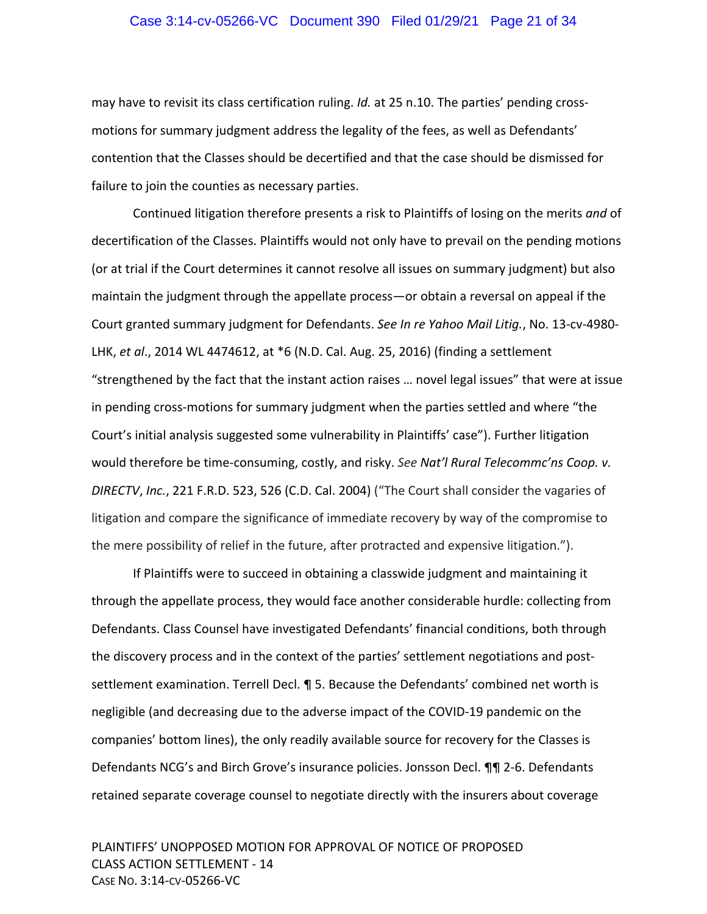#### Case 3:14-cv-05266-VC Document 390 Filed 01/29/21 Page 21 of 34

may have to revisit its class certification ruling. *Id.* at 25 n.10. The parties' pending cross‐ motions for summary judgment address the legality of the fees, as well as Defendants' contention that the Classes should be decertified and that the case should be dismissed for failure to join the counties as necessary parties.

Continued litigation therefore presents a risk to Plaintiffs of losing on the merits *and* of decertification of the Classes. Plaintiffs would not only have to prevail on the pending motions (or at trial if the Court determines it cannot resolve all issues on summary judgment) but also maintain the judgment through the appellate process—or obtain a reversal on appeal if the Court granted summary judgment for Defendants. *See In re Yahoo Mail Litig.*, No. 13‐cv‐4980‐ LHK, *et al*., 2014 WL 4474612, at \*6 (N.D. Cal. Aug. 25, 2016) (finding a settlement "strengthened by the fact that the instant action raises … novel legal issues" that were at issue in pending cross‐motions for summary judgment when the parties settled and where "the Court's initial analysis suggested some vulnerability in Plaintiffs' case"). Further litigation would therefore be time‐consuming, costly, and risky. *See Nat'l Rural Telecommc'ns Coop. v. DIRECTV*, *Inc.*, 221 F.R.D. 523, 526 (C.D. Cal. 2004) ("The Court shall consider the vagaries of litigation and compare the significance of immediate recovery by way of the compromise to the mere possibility of relief in the future, after protracted and expensive litigation.").

If Plaintiffs were to succeed in obtaining a classwide judgment and maintaining it through the appellate process, they would face another considerable hurdle: collecting from Defendants. Class Counsel have investigated Defendants' financial conditions, both through the discovery process and in the context of the parties' settlement negotiations and post‐ settlement examination. Terrell Decl. ¶ 5. Because the Defendants' combined net worth is negligible (and decreasing due to the adverse impact of the COVID‐19 pandemic on the companies' bottom lines), the only readily available source for recovery for the Classes is Defendants NCG's and Birch Grove's insurance policies. Jonsson Decl. ¶¶ 2‐6. Defendants retained separate coverage counsel to negotiate directly with the insurers about coverage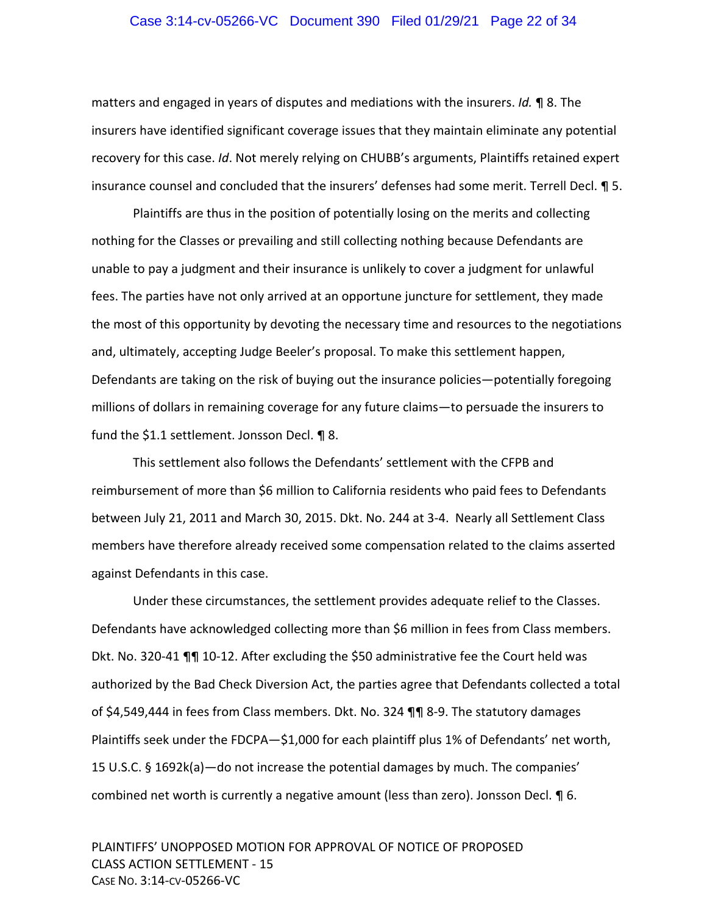#### Case 3:14-cv-05266-VC Document 390 Filed 01/29/21 Page 22 of 34

matters and engaged in years of disputes and mediations with the insurers. *Id.* ¶ 8. The insurers have identified significant coverage issues that they maintain eliminate any potential recovery for this case. *Id*. Not merely relying on CHUBB's arguments, Plaintiffs retained expert insurance counsel and concluded that the insurers' defenses had some merit. Terrell Decl. ¶ 5.

Plaintiffs are thus in the position of potentially losing on the merits and collecting nothing for the Classes or prevailing and still collecting nothing because Defendants are unable to pay a judgment and their insurance is unlikely to cover a judgment for unlawful fees. The parties have not only arrived at an opportune juncture for settlement, they made the most of this opportunity by devoting the necessary time and resources to the negotiations and, ultimately, accepting Judge Beeler's proposal. To make this settlement happen, Defendants are taking on the risk of buying out the insurance policies—potentially foregoing millions of dollars in remaining coverage for any future claims—to persuade the insurers to fund the \$1.1 settlement. Jonsson Decl. ¶ 8.

This settlement also follows the Defendants' settlement with the CFPB and reimbursement of more than \$6 million to California residents who paid fees to Defendants between July 21, 2011 and March 30, 2015. Dkt. No. 244 at 3‐4. Nearly all Settlement Class members have therefore already received some compensation related to the claims asserted against Defendants in this case.

Under these circumstances, the settlement provides adequate relief to the Classes. Defendants have acknowledged collecting more than \$6 million in fees from Class members. Dkt. No. 320‐41 ¶¶ 10‐12. After excluding the \$50 administrative fee the Court held was authorized by the Bad Check Diversion Act, the parties agree that Defendants collected a total of \$4,549,444 in fees from Class members. Dkt. No. 324 ¶¶ 8‐9. The statutory damages Plaintiffs seek under the FDCPA—\$1,000 for each plaintiff plus 1% of Defendants' net worth, 15 U.S.C. § 1692k(a)—do not increase the potential damages by much. The companies' combined net worth is currently a negative amount (less than zero). Jonsson Decl. ¶ 6.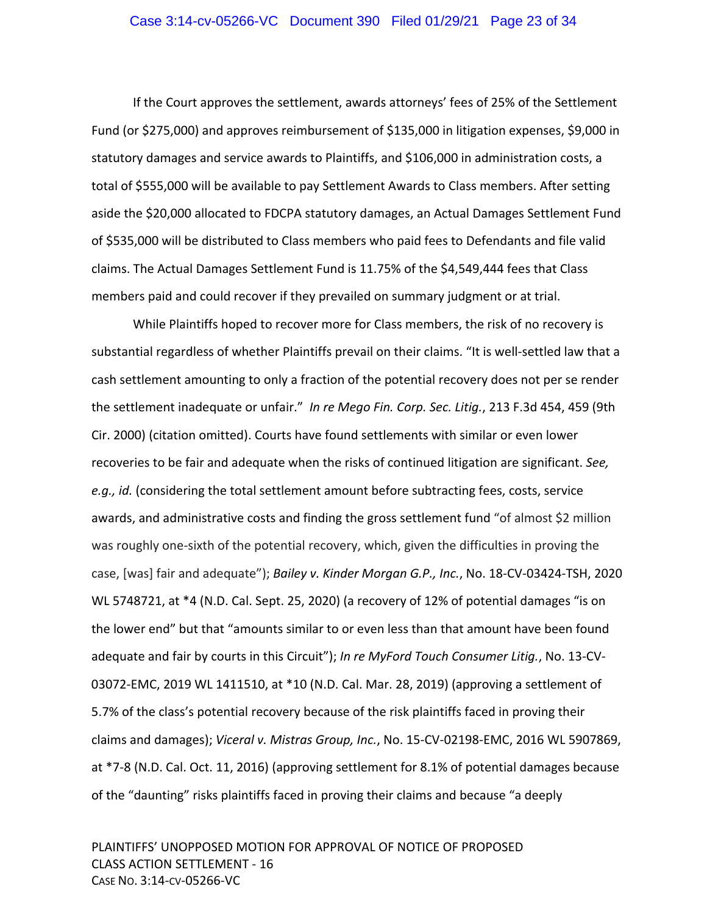#### Case 3:14-cv-05266-VC Document 390 Filed 01/29/21 Page 23 of 34

If the Court approves the settlement, awards attorneys' fees of 25% of the Settlement Fund (or \$275,000) and approves reimbursement of \$135,000 in litigation expenses, \$9,000 in statutory damages and service awards to Plaintiffs, and \$106,000 in administration costs, a total of \$555,000 will be available to pay Settlement Awards to Class members. After setting aside the \$20,000 allocated to FDCPA statutory damages, an Actual Damages Settlement Fund of \$535,000 will be distributed to Class members who paid fees to Defendants and file valid claims. The Actual Damages Settlement Fund is 11.75% of the \$4,549,444 fees that Class members paid and could recover if they prevailed on summary judgment or at trial.

While Plaintiffs hoped to recover more for Class members, the risk of no recovery is substantial regardless of whether Plaintiffs prevail on their claims. "It is well‐settled law that a cash settlement amounting to only a fraction of the potential recovery does not per se render the settlement inadequate or unfair."  *In re Mego Fin. Corp. Sec. Litig.*, 213 F.3d 454, 459 (9th Cir. 2000) (citation omitted). Courts have found settlements with similar or even lower recoveries to be fair and adequate when the risks of continued litigation are significant. *See, e.g., id.* (considering the total settlement amount before subtracting fees, costs, service awards, and administrative costs and finding the gross settlement fund "of almost \$2 million was roughly one-sixth of the potential recovery, which, given the difficulties in proving the case, [was] fair and adequate"); *Bailey v. Kinder Morgan G.P., Inc.*, No. 18‐CV‐03424‐TSH, 2020 WL 5748721, at \*4 (N.D. Cal. Sept. 25, 2020) (a recovery of 12% of potential damages "is on the lower end" but that "amounts similar to or even less than that amount have been found adequate and fair by courts in this Circuit"); *In re MyFord Touch Consumer Litig.*, No. 13‐CV‐ 03072‐EMC, 2019 WL 1411510, at \*10 (N.D. Cal. Mar. 28, 2019) (approving a settlement of 5.7% of the class's potential recovery because of the risk plaintiffs faced in proving their claims and damages); *Viceral v. Mistras Group, Inc.*, No. 15‐CV‐02198‐EMC, 2016 WL 5907869, at \*7‐8 (N.D. Cal. Oct. 11, 2016) (approving settlement for 8.1% of potential damages because of the "daunting" risks plaintiffs faced in proving their claims and because "a deeply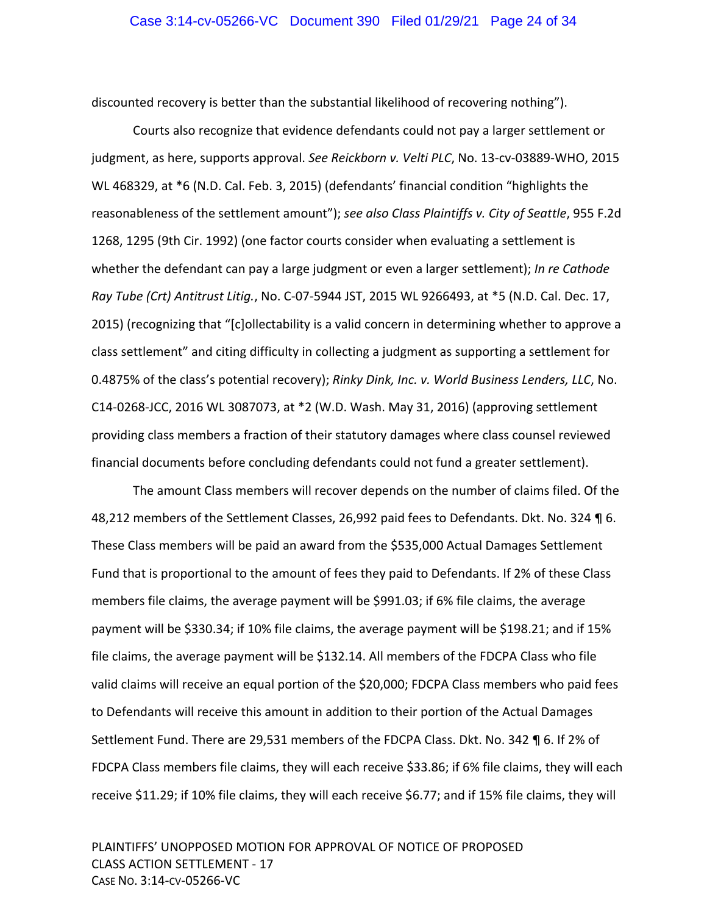discounted recovery is better than the substantial likelihood of recovering nothing").

Courts also recognize that evidence defendants could not pay a larger settlement or judgment, as here, supports approval. *See Reickborn v. Velti PLC*, No. 13‐cv‐03889‐WHO, 2015 WL 468329, at \*6 (N.D. Cal. Feb. 3, 2015) (defendants' financial condition "highlights the reasonableness of the settlement amount"); *see also Class Plaintiffs v. City of Seattle*, 955 F.2d 1268, 1295 (9th Cir. 1992) (one factor courts consider when evaluating a settlement is whether the defendant can pay a large judgment or even a larger settlement); *In re Cathode Ray Tube (Crt) Antitrust Litig.*, No. C‐07‐5944 JST, 2015 WL 9266493, at \*5 (N.D. Cal. Dec. 17, 2015) (recognizing that "[c]ollectability is a valid concern in determining whether to approve a class settlement" and citing difficulty in collecting a judgment as supporting a settlement for 0.4875% of the class's potential recovery); *Rinky Dink, Inc. v. World Business Lenders, LLC*, No. C14‐0268‐JCC, 2016 WL 3087073, at \*2 (W.D. Wash. May 31, 2016) (approving settlement providing class members a fraction of their statutory damages where class counsel reviewed financial documents before concluding defendants could not fund a greater settlement).

The amount Class members will recover depends on the number of claims filed. Of the 48,212 members of the Settlement Classes, 26,992 paid fees to Defendants. Dkt. No. 324 ¶ 6. These Class members will be paid an award from the \$535,000 Actual Damages Settlement Fund that is proportional to the amount of fees they paid to Defendants. If 2% of these Class members file claims, the average payment will be \$991.03; if 6% file claims, the average payment will be \$330.34; if 10% file claims, the average payment will be \$198.21; and if 15% file claims, the average payment will be \$132.14. All members of the FDCPA Class who file valid claims will receive an equal portion of the \$20,000; FDCPA Class members who paid fees to Defendants will receive this amount in addition to their portion of the Actual Damages Settlement Fund. There are 29,531 members of the FDCPA Class. Dkt. No. 342 ¶ 6. If 2% of FDCPA Class members file claims, they will each receive \$33.86; if 6% file claims, they will each receive \$11.29; if 10% file claims, they will each receive \$6.77; and if 15% file claims, they will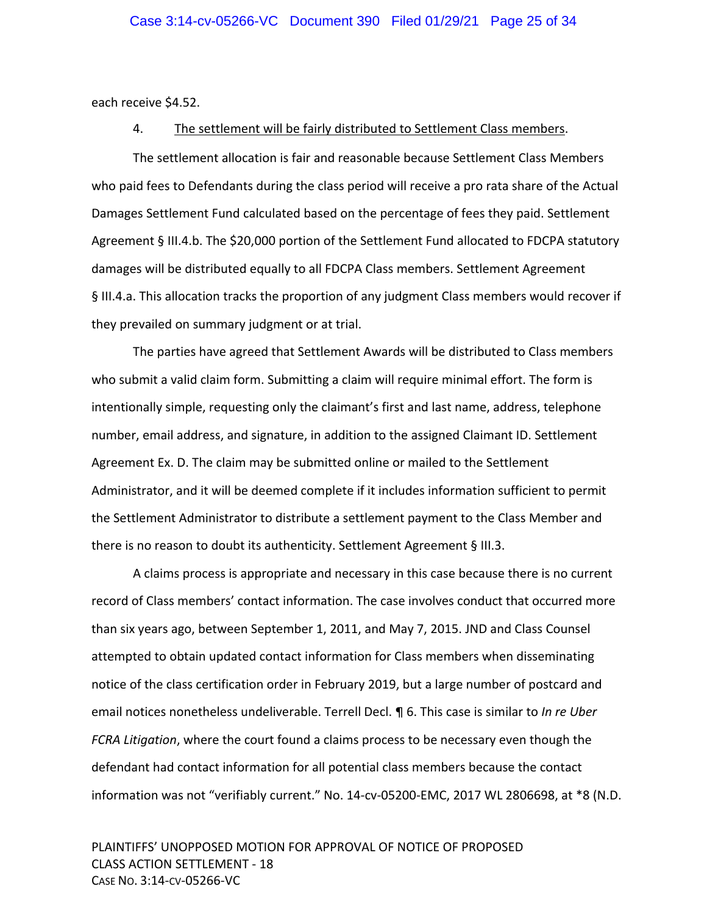each receive \$4.52.

#### 4. The settlement will be fairly distributed to Settlement Class members.

The settlement allocation is fair and reasonable because Settlement Class Members who paid fees to Defendants during the class period will receive a pro rata share of the Actual Damages Settlement Fund calculated based on the percentage of fees they paid. Settlement Agreement § III.4.b. The \$20,000 portion of the Settlement Fund allocated to FDCPA statutory damages will be distributed equally to all FDCPA Class members. Settlement Agreement § III.4.a. This allocation tracks the proportion of any judgment Class members would recover if they prevailed on summary judgment or at trial.

The parties have agreed that Settlement Awards will be distributed to Class members who submit a valid claim form. Submitting a claim will require minimal effort. The form is intentionally simple, requesting only the claimant's first and last name, address, telephone number, email address, and signature, in addition to the assigned Claimant ID. Settlement Agreement Ex. D. The claim may be submitted online or mailed to the Settlement Administrator, and it will be deemed complete if it includes information sufficient to permit the Settlement Administrator to distribute a settlement payment to the Class Member and there is no reason to doubt its authenticity. Settlement Agreement § III.3.

A claims process is appropriate and necessary in this case because there is no current record of Class members' contact information. The case involves conduct that occurred more than six years ago, between September 1, 2011, and May 7, 2015. JND and Class Counsel attempted to obtain updated contact information for Class members when disseminating notice of the class certification order in February 2019, but a large number of postcard and email notices nonetheless undeliverable. Terrell Decl. ¶ 6. This case is similar to *In re Uber FCRA Litigation*, where the court found a claims process to be necessary even though the defendant had contact information for all potential class members because the contact information was not "verifiably current." No. 14‐cv‐05200‐EMC, 2017 WL 2806698, at \*8 (N.D.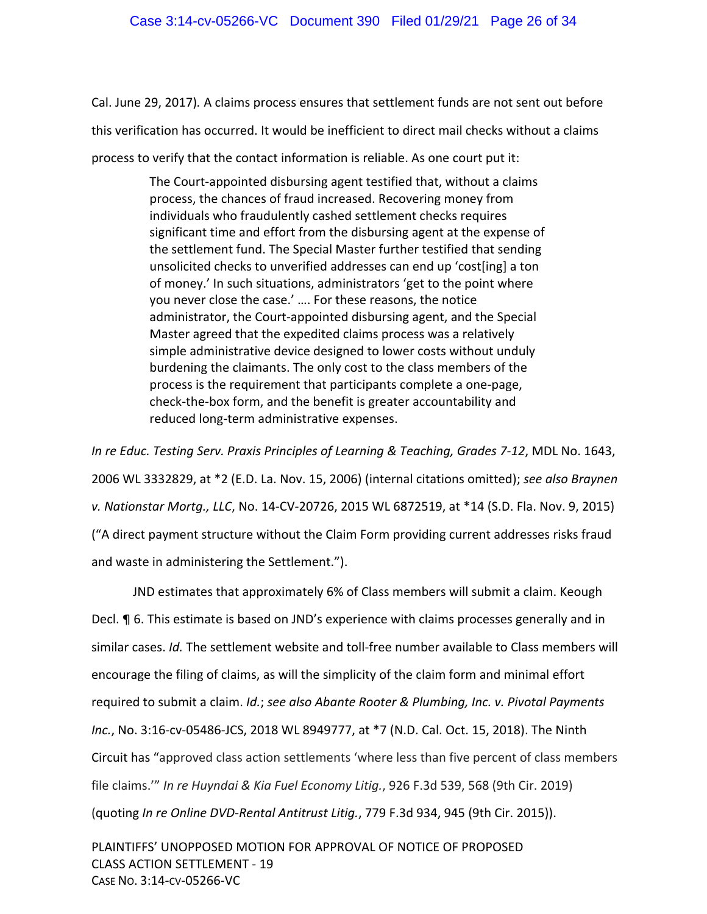Cal. June 29, 2017)*.* A claims process ensures that settlement funds are not sent out before this verification has occurred. It would be inefficient to direct mail checks without a claims process to verify that the contact information is reliable. As one court put it:

> The Court‐appointed disbursing agent testified that, without a claims process, the chances of fraud increased. Recovering money from individuals who fraudulently cashed settlement checks requires significant time and effort from the disbursing agent at the expense of the settlement fund. The Special Master further testified that sending unsolicited checks to unverified addresses can end up 'cost[ing] a ton of money.' In such situations, administrators 'get to the point where you never close the case.' …. For these reasons, the notice administrator, the Court‐appointed disbursing agent, and the Special Master agreed that the expedited claims process was a relatively simple administrative device designed to lower costs without unduly burdening the claimants. The only cost to the class members of the process is the requirement that participants complete a one‐page, check‐the‐box form, and the benefit is greater accountability and reduced long‐term administrative expenses.

*In re Educ. Testing Serv. Praxis Principles of Learning & Teaching, Grades 7‐12*, MDL No. 1643, 2006 WL 3332829, at \*2 (E.D. La. Nov. 15, 2006) (internal citations omitted); *see also Braynen v. Nationstar Mortg., LLC*, No. 14‐CV‐20726, 2015 WL 6872519, at \*14 (S.D. Fla. Nov. 9, 2015) ("A direct payment structure without the Claim Form providing current addresses risks fraud and waste in administering the Settlement.").

JND estimates that approximately 6% of Class members will submit a claim. Keough Decl. ¶ 6. This estimate is based on JND's experience with claims processes generally and in similar cases. *Id.* The settlement website and toll‐free number available to Class members will encourage the filing of claims, as will the simplicity of the claim form and minimal effort required to submit a claim. *Id.*; *see also Abante Rooter & Plumbing, Inc. v. Pivotal Payments Inc.*, No. 3:16‐cv‐05486‐JCS, 2018 WL 8949777, at \*7 (N.D. Cal. Oct. 15, 2018). The Ninth Circuit has "approved class action settlements 'where less than five percent of class members file claims.'" *In re Huyndai & Kia Fuel Economy Litig.*, 926 F.3d 539, 568 (9th Cir. 2019) (quoting *In re Online DVD‐Rental Antitrust Litig.*, 779 F.3d 934, 945 (9th Cir. 2015)).

PLAINTIFFS' UNOPPOSED MOTION FOR APPROVAL OF NOTICE OF PROPOSED CLASS ACTION SETTLEMENT ‐ 19 CASE NO. 3:14‐CV‐05266‐VC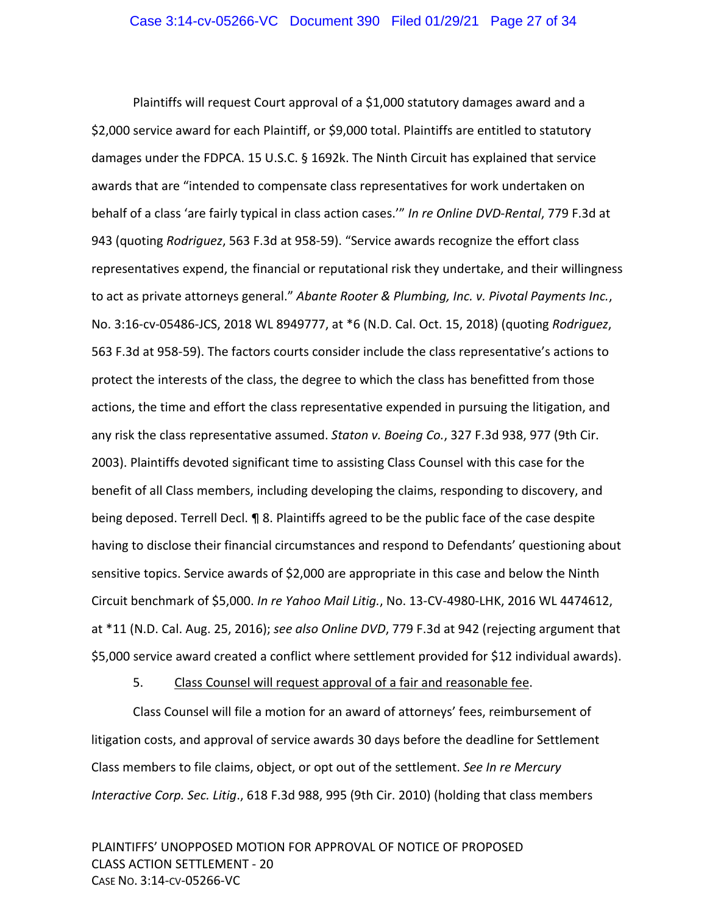Plaintiffs will request Court approval of a \$1,000 statutory damages award and a \$2,000 service award for each Plaintiff, or \$9,000 total. Plaintiffs are entitled to statutory damages under the FDPCA. 15 U.S.C. § 1692k. The Ninth Circuit has explained that service awards that are "intended to compensate class representatives for work undertaken on behalf of a class 'are fairly typical in class action cases.'" *In re Online DVD‐Rental*, 779 F.3d at 943 (quoting *Rodriguez*, 563 F.3d at 958‐59). "Service awards recognize the effort class representatives expend, the financial or reputational risk they undertake, and their willingness to act as private attorneys general." *Abante Rooter & Plumbing, Inc. v. Pivotal Payments Inc.*, No. 3:16‐cv‐05486‐JCS, 2018 WL 8949777, at \*6 (N.D. Cal. Oct. 15, 2018) (quoting *Rodriguez*, 563 F.3d at 958‐59). The factors courts consider include the class representative's actions to protect the interests of the class, the degree to which the class has benefitted from those actions, the time and effort the class representative expended in pursuing the litigation, and any risk the class representative assumed. *Staton v. Boeing Co.*, 327 F.3d 938, 977 (9th Cir. 2003). Plaintiffs devoted significant time to assisting Class Counsel with this case for the benefit of all Class members, including developing the claims, responding to discovery, and being deposed. Terrell Decl. ¶ 8. Plaintiffs agreed to be the public face of the case despite having to disclose their financial circumstances and respond to Defendants' questioning about sensitive topics. Service awards of \$2,000 are appropriate in this case and below the Ninth Circuit benchmark of \$5,000. *In re Yahoo Mail Litig.*, No. 13‐CV‐4980‐LHK, 2016 WL 4474612, at \*11 (N.D. Cal. Aug. 25, 2016); *see also Online DVD*, 779 F.3d at 942 (rejecting argument that \$5,000 service award created a conflict where settlement provided for \$12 individual awards).

5. Class Counsel will request approval of a fair and reasonable fee.

Class Counsel will file a motion for an award of attorneys' fees, reimbursement of litigation costs, and approval of service awards 30 days before the deadline for Settlement Class members to file claims, object, or opt out of the settlement. *See In re Mercury Interactive Corp. Sec. Litig*., 618 F.3d 988, 995 (9th Cir. 2010) (holding that class members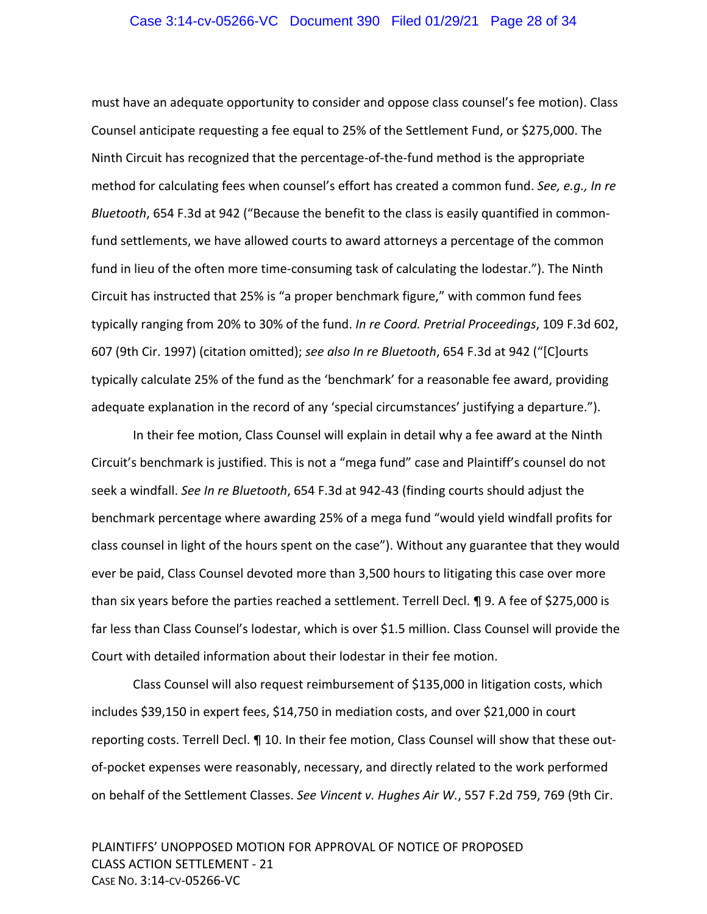#### Case 3:14-cv-05266-VC Document 390 Filed 01/29/21 Page 28 of 34

must have an adequate opportunity to consider and oppose class counsel's fee motion). Class Counsel anticipate requesting a fee equal to 25% of the Settlement Fund, or \$275,000. The Ninth Circuit has recognized that the percentage‐of‐the‐fund method is the appropriate method for calculating fees when counsel's effort has created a common fund. *See, e.g., In re Bluetooth*, 654 F.3d at 942 ("Because the benefit to the class is easily quantified in common‐ fund settlements, we have allowed courts to award attorneys a percentage of the common fund in lieu of the often more time-consuming task of calculating the lodestar."). The Ninth Circuit has instructed that 25% is "a proper benchmark figure," with common fund fees typically ranging from 20% to 30% of the fund. *In re Coord. Pretrial Proceedings*, 109 F.3d 602, 607 (9th Cir. 1997) (citation omitted); *see also In re Bluetooth*, 654 F.3d at 942 ("[C]ourts typically calculate 25% of the fund as the 'benchmark' for a reasonable fee award, providing adequate explanation in the record of any 'special circumstances' justifying a departure.").

In their fee motion, Class Counsel will explain in detail why a fee award at the Ninth Circuit's benchmark is justified. This is not a "mega fund" case and Plaintiff's counsel do not seek a windfall. *See In re Bluetooth*, 654 F.3d at 942‐43 (finding courts should adjust the benchmark percentage where awarding 25% of a mega fund "would yield windfall profits for class counsel in light of the hours spent on the case"). Without any guarantee that they would ever be paid, Class Counsel devoted more than 3,500 hours to litigating this case over more than six years before the parties reached a settlement. Terrell Decl. ¶ 9. A fee of \$275,000 is far less than Class Counsel's lodestar, which is over \$1.5 million. Class Counsel will provide the Court with detailed information about their lodestar in their fee motion.

Class Counsel will also request reimbursement of \$135,000 in litigation costs, which includes \$39,150 in expert fees, \$14,750 in mediation costs, and over \$21,000 in court reporting costs. Terrell Decl.  $\P$  10. In their fee motion, Class Counsel will show that these outof-pocket expenses were reasonably, necessary, and directly related to the work performed on behalf of the Settlement Classes. *See Vincent v. Hughes Air W.*, 557 F.2d 759, 769 (9th Cir.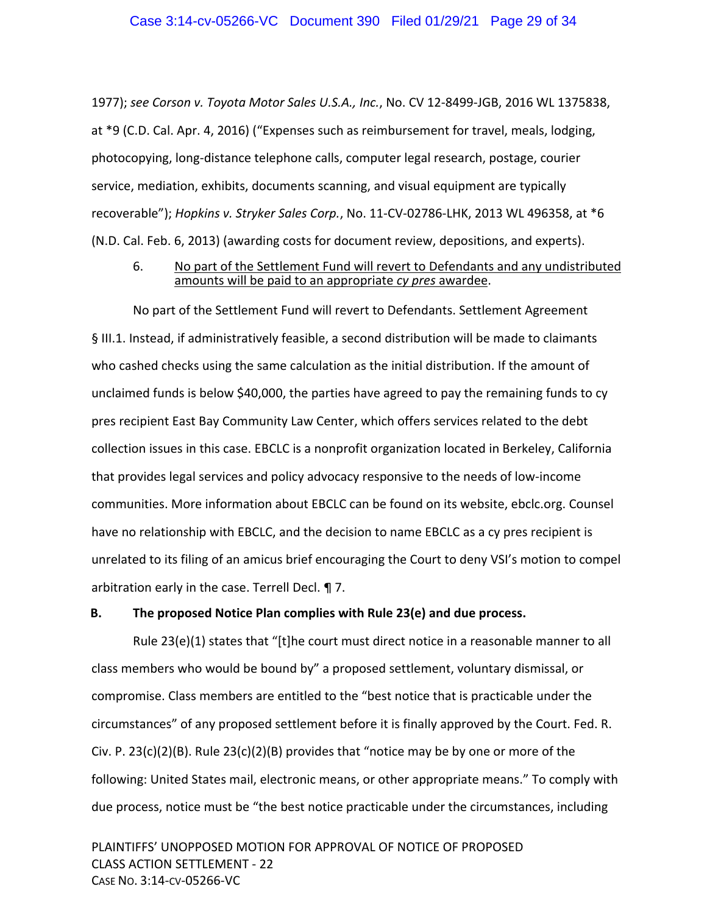1977); *see Corson v. Toyota Motor Sales U.S.A., Inc.*, No. CV 12‐8499‐JGB, 2016 WL 1375838, at \*9 (C.D. Cal. Apr. 4, 2016) ("Expenses such as reimbursement for travel, meals, lodging, photocopying, long‐distance telephone calls, computer legal research, postage, courier service, mediation, exhibits, documents scanning, and visual equipment are typically recoverable"); *Hopkins v. Stryker Sales Corp.*, No. 11‐CV‐02786‐LHK, 2013 WL 496358, at \*6 (N.D. Cal. Feb. 6, 2013) (awarding costs for document review, depositions, and experts).

#### 6. No part of the Settlement Fund will revert to Defendants and any undistributed amounts will be paid to an appropriate *cy pres* awardee.

No part of the Settlement Fund will revert to Defendants. Settlement Agreement § III.1. Instead, if administratively feasible, a second distribution will be made to claimants who cashed checks using the same calculation as the initial distribution. If the amount of unclaimed funds is below \$40,000, the parties have agreed to pay the remaining funds to cy pres recipient East Bay Community Law Center, which offers services related to the debt collection issues in this case. EBCLC is a nonprofit organization located in Berkeley, California that provides legal services and policy advocacy responsive to the needs of low‐income communities. More information about EBCLC can be found on its website, ebclc.org. Counsel have no relationship with EBCLC, and the decision to name EBCLC as a cy pres recipient is unrelated to its filing of an amicus brief encouraging the Court to deny VSI's motion to compel arbitration early in the case. Terrell Decl. ¶ 7.

### **B. The proposed Notice Plan complies with Rule 23(e) and due process.**

Rule 23(e)(1) states that "[t]he court must direct notice in a reasonable manner to all class members who would be bound by" a proposed settlement, voluntary dismissal, or compromise. Class members are entitled to the "best notice that is practicable under the circumstances" of any proposed settlement before it is finally approved by the Court. Fed. R. Civ. P. 23(c)(2)(B). Rule 23(c)(2)(B) provides that "notice may be by one or more of the following: United States mail, electronic means, or other appropriate means." To comply with due process, notice must be "the best notice practicable under the circumstances, including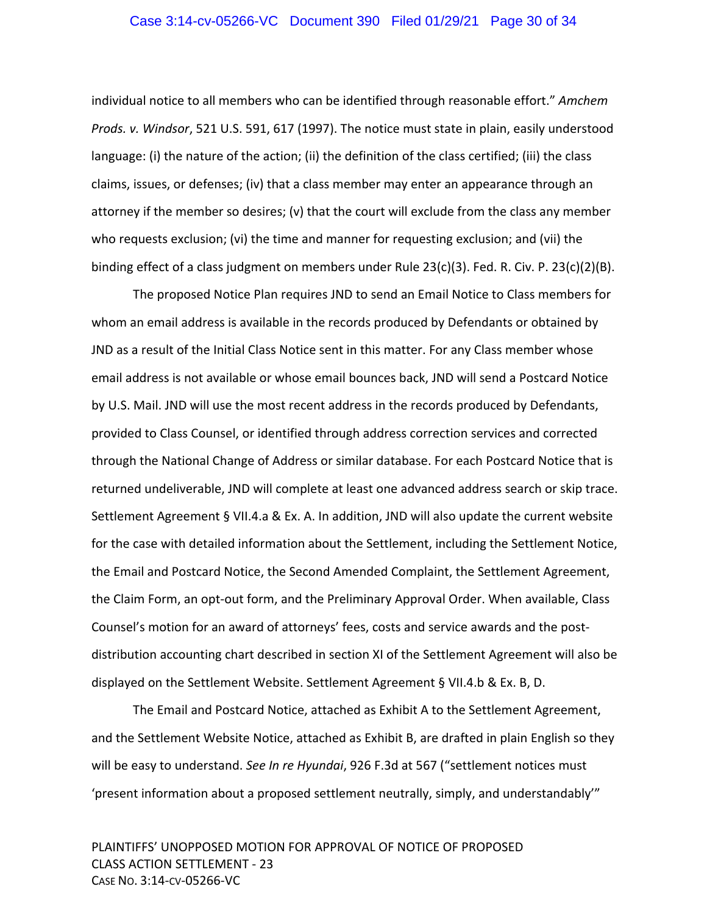#### Case 3:14-cv-05266-VC Document 390 Filed 01/29/21 Page 30 of 34

individual notice to all members who can be identified through reasonable effort." *Amchem Prods. v. Windsor*, 521 U.S. 591, 617 (1997). The notice must state in plain, easily understood language: (i) the nature of the action; (ii) the definition of the class certified; (iii) the class claims, issues, or defenses; (iv) that a class member may enter an appearance through an attorney if the member so desires; (v) that the court will exclude from the class any member who requests exclusion; (vi) the time and manner for requesting exclusion; and (vii) the binding effect of a class judgment on members under Rule 23(c)(3). Fed. R. Civ. P. 23(c)(2)(B).

The proposed Notice Plan requires JND to send an Email Notice to Class members for whom an email address is available in the records produced by Defendants or obtained by JND as a result of the Initial Class Notice sent in this matter. For any Class member whose email address is not available or whose email bounces back, JND will send a Postcard Notice by U.S. Mail. JND will use the most recent address in the records produced by Defendants, provided to Class Counsel, or identified through address correction services and corrected through the National Change of Address or similar database. For each Postcard Notice that is returned undeliverable, JND will complete at least one advanced address search or skip trace. Settlement Agreement § VII.4.a & Ex. A. In addition, JND will also update the current website for the case with detailed information about the Settlement, including the Settlement Notice, the Email and Postcard Notice, the Second Amended Complaint, the Settlement Agreement, the Claim Form, an opt‐out form, and the Preliminary Approval Order. When available, Class Counsel's motion for an award of attorneys' fees, costs and service awards and the post‐ distribution accounting chart described in section XI of the Settlement Agreement will also be displayed on the Settlement Website. Settlement Agreement § VII.4.b & Ex. B, D.

The Email and Postcard Notice, attached as Exhibit A to the Settlement Agreement, and the Settlement Website Notice, attached as Exhibit B, are drafted in plain English so they will be easy to understand. *See In re Hyundai*, 926 F.3d at 567 ("settlement notices must 'present information about a proposed settlement neutrally, simply, and understandably'"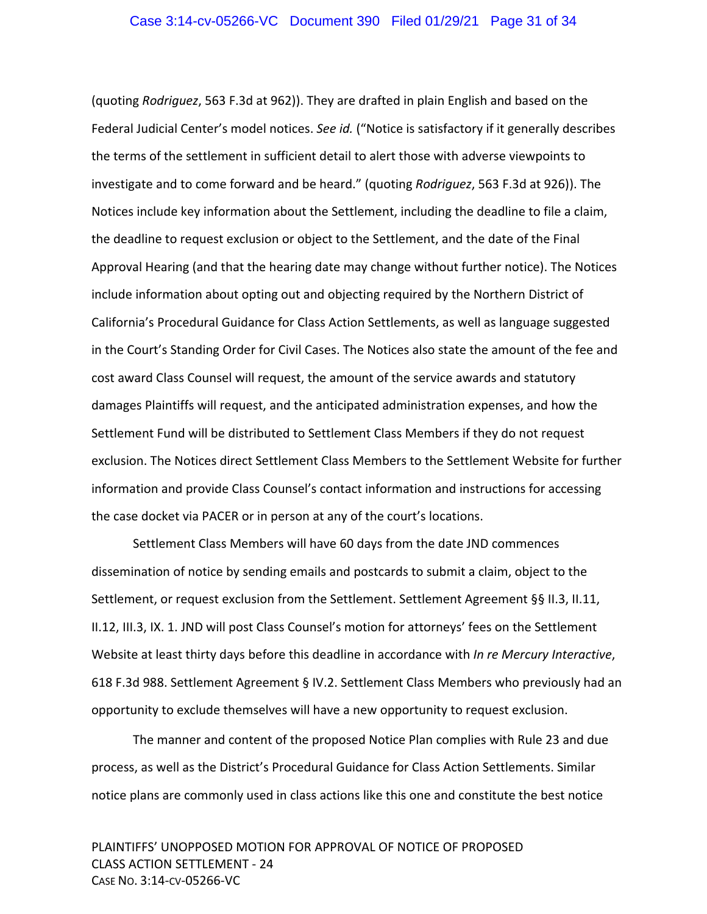(quoting *Rodriguez*, 563 F.3d at 962)). They are drafted in plain English and based on the Federal Judicial Center's model notices. *See id.* ("Notice is satisfactory if it generally describes the terms of the settlement in sufficient detail to alert those with adverse viewpoints to investigate and to come forward and be heard." (quoting *Rodriguez*, 563 F.3d at 926)). The Notices include key information about the Settlement, including the deadline to file a claim, the deadline to request exclusion or object to the Settlement, and the date of the Final Approval Hearing (and that the hearing date may change without further notice). The Notices include information about opting out and objecting required by the Northern District of California's Procedural Guidance for Class Action Settlements, as well as language suggested in the Court's Standing Order for Civil Cases. The Notices also state the amount of the fee and cost award Class Counsel will request, the amount of the service awards and statutory damages Plaintiffs will request, and the anticipated administration expenses, and how the Settlement Fund will be distributed to Settlement Class Members if they do not request exclusion. The Notices direct Settlement Class Members to the Settlement Website for further information and provide Class Counsel's contact information and instructions for accessing the case docket via PACER or in person at any of the court's locations.

Settlement Class Members will have 60 days from the date JND commences dissemination of notice by sending emails and postcards to submit a claim, object to the Settlement, or request exclusion from the Settlement. Settlement Agreement §§ II.3, II.11, II.12, III.3, IX. 1. JND will post Class Counsel's motion for attorneys' fees on the Settlement Website at least thirty days before this deadline in accordance with *In re Mercury Interactive*, 618 F.3d 988. Settlement Agreement § IV.2. Settlement Class Members who previously had an opportunity to exclude themselves will have a new opportunity to request exclusion.

The manner and content of the proposed Notice Plan complies with Rule 23 and due process, as well as the District's Procedural Guidance for Class Action Settlements. Similar notice plans are commonly used in class actions like this one and constitute the best notice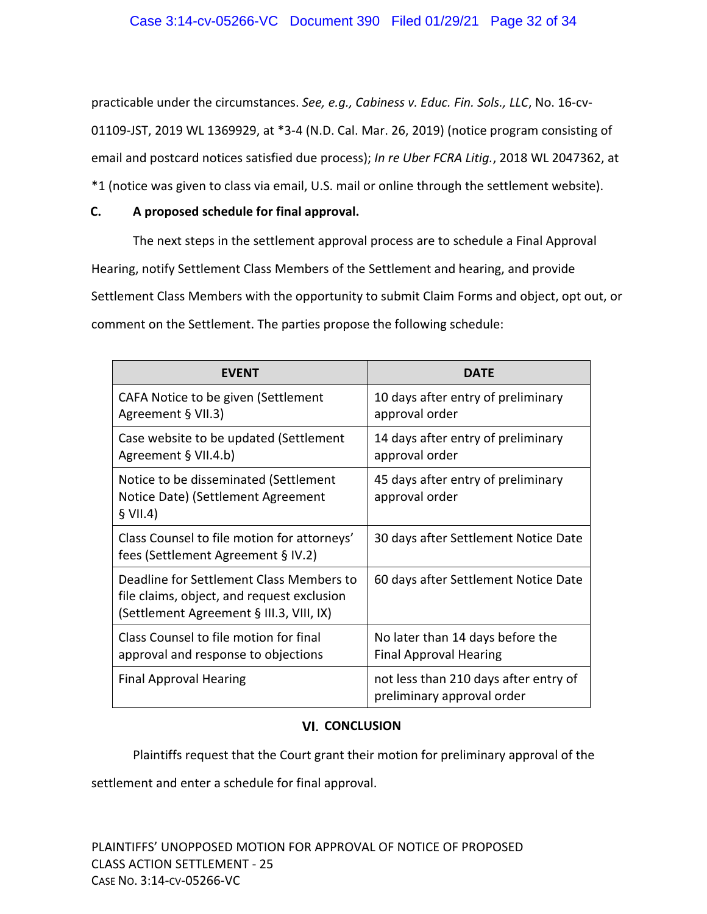practicable under the circumstances. *See, e.g., Cabiness v. Educ. Fin. Sols., LLC*, No. 16‐cv‐ 01109‐JST, 2019 WL 1369929, at \*3‐4 (N.D. Cal. Mar. 26, 2019) (notice program consisting of email and postcard notices satisfied due process); *In re Uber FCRA Litig.*, 2018 WL 2047362, at \*1 (notice was given to class via email, U.S. mail or online through the settlement website).

## **C. A proposed schedule for final approval.**

The next steps in the settlement approval process are to schedule a Final Approval Hearing, notify Settlement Class Members of the Settlement and hearing, and provide Settlement Class Members with the opportunity to submit Claim Forms and object, opt out, or comment on the Settlement. The parties propose the following schedule:

| <b>EVENT</b>                                                                                                                       | DATE                                                                |
|------------------------------------------------------------------------------------------------------------------------------------|---------------------------------------------------------------------|
| CAFA Notice to be given (Settlement<br>Agreement § VII.3)                                                                          | 10 days after entry of preliminary<br>approval order                |
| Case website to be updated (Settlement<br>Agreement § VII.4.b)                                                                     | 14 days after entry of preliminary<br>approval order                |
| Notice to be disseminated (Settlement<br>Notice Date) (Settlement Agreement<br>\$ VII.4)                                           | 45 days after entry of preliminary<br>approval order                |
| Class Counsel to file motion for attorneys'<br>fees (Settlement Agreement § IV.2)                                                  | 30 days after Settlement Notice Date                                |
| Deadline for Settlement Class Members to<br>file claims, object, and request exclusion<br>(Settlement Agreement § III.3, VIII, IX) | 60 days after Settlement Notice Date                                |
| Class Counsel to file motion for final<br>approval and response to objections                                                      | No later than 14 days before the<br><b>Final Approval Hearing</b>   |
| <b>Final Approval Hearing</b>                                                                                                      | not less than 210 days after entry of<br>preliminary approval order |

## **VI. CONCLUSION**

Plaintiffs request that the Court grant their motion for preliminary approval of the

settlement and enter a schedule for final approval.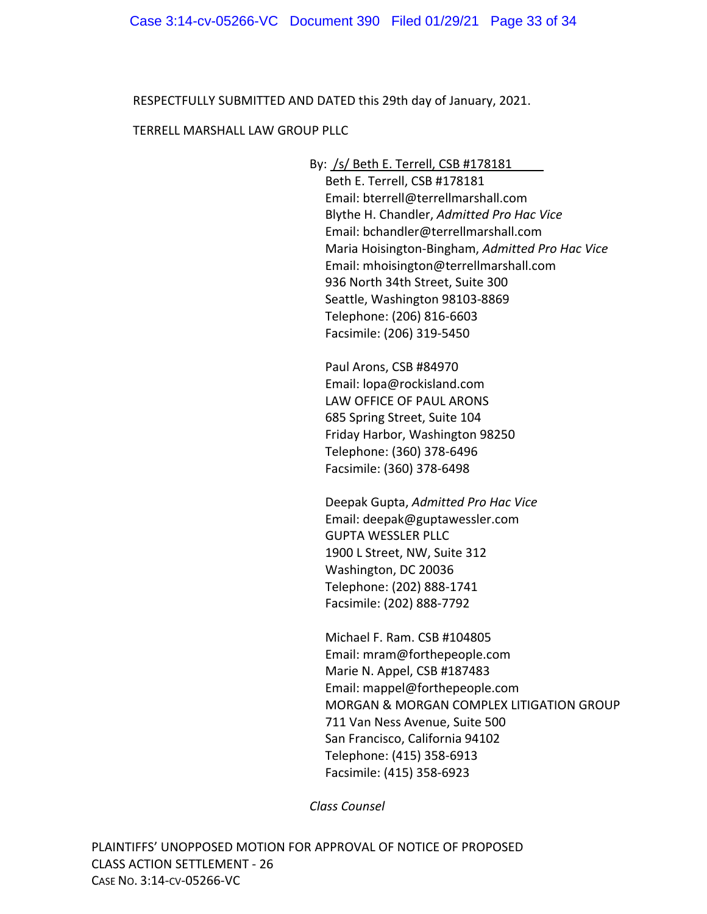RESPECTFULLY SUBMITTED AND DATED this 29th day of January, 2021.

## TERRELL MARSHALL LAW GROUP PLLC

By: /s/ Beth E. Terrell, CSB #178181

Beth E. Terrell, CSB #178181 Email: bterrell@terrellmarshall.com Blythe H. Chandler, *Admitted Pro Hac Vice* Email: bchandler@terrellmarshall.com Maria Hoisington‐Bingham, *Admitted Pro Hac Vice*  Email: mhoisington@terrellmarshall.com 936 North 34th Street, Suite 300 Seattle, Washington 98103‐8869 Telephone: (206) 816‐6603 Facsimile: (206) 319‐5450

Paul Arons, CSB #84970 Email: lopa@rockisland.com LAW OFFICE OF PAUL ARONS 685 Spring Street, Suite 104 Friday Harbor, Washington 98250 Telephone: (360) 378‐6496 Facsimile: (360) 378‐6498

Deepak Gupta, *Admitted Pro Hac Vice* Email: deepak@guptawessler.com GUPTA WESSLER PLLC 1900 L Street, NW, Suite 312 Washington, DC 20036 Telephone: (202) 888‐1741 Facsimile: (202) 888‐7792

Michael F. Ram. CSB #104805 Email: mram@forthepeople.com Marie N. Appel, CSB #187483 Email: mappel@forthepeople.com MORGAN & MORGAN COMPLEX LITIGATION GROUP 711 Van Ness Avenue, Suite 500 San Francisco, California 94102 Telephone: (415) 358‐6913 Facsimile: (415) 358‐6923

*Class Counsel*

PLAINTIFFS' UNOPPOSED MOTION FOR APPROVAL OF NOTICE OF PROPOSED CLASS ACTION SETTLEMENT ‐ 26 CASE NO. 3:14‐CV‐05266‐VC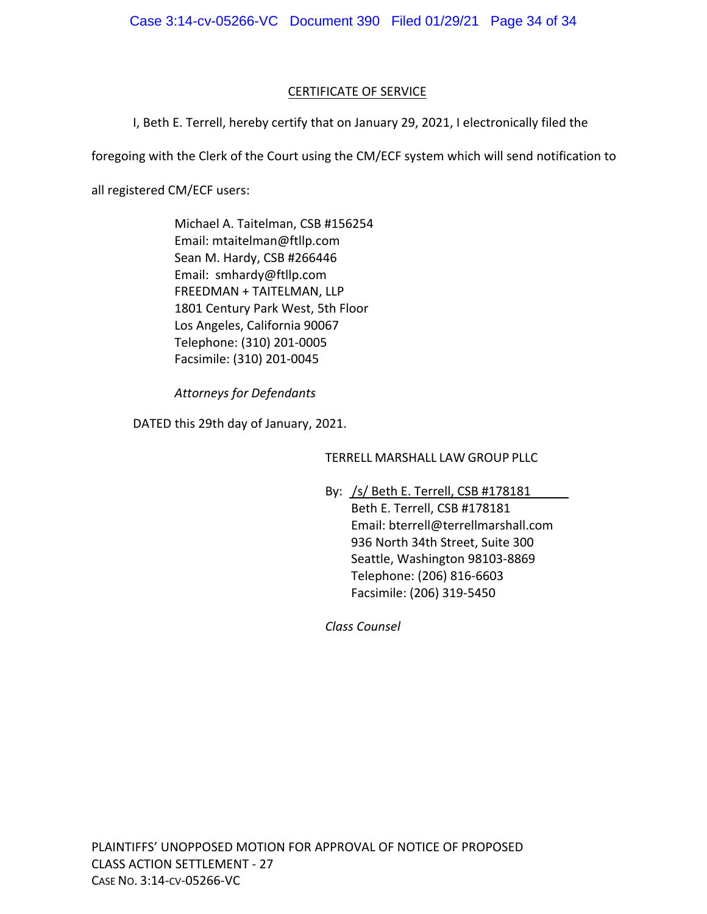## CERTIFICATE OF SERVICE

I, Beth E. Terrell, hereby certify that on January 29, 2021, I electronically filed the

foregoing with the Clerk of the Court using the CM/ECF system which will send notification to

all registered CM/ECF users:

Michael A. Taitelman, CSB #156254 Email: mtaitelman@ftllp.com Sean M. Hardy, CSB #266446 Email: smhardy@ftllp.com FREEDMAN + TAITELMAN, LLP 1801 Century Park West, 5th Floor Los Angeles, California 90067 Telephone: (310) 201‐0005 Facsimile: (310) 201‐0045

*Attorneys for Defendants*

DATED this 29th day of January, 2021.

TERRELL MARSHALL LAW GROUP PLLC

By: /s/ Beth E. Terrell, CSB #178181

Beth E. Terrell, CSB #178181 Email: bterrell@terrellmarshall.com 936 North 34th Street, Suite 300 Seattle, Washington 98103‐8869 Telephone: (206) 816‐6603 Facsimile: (206) 319‐5450

*Class Counsel*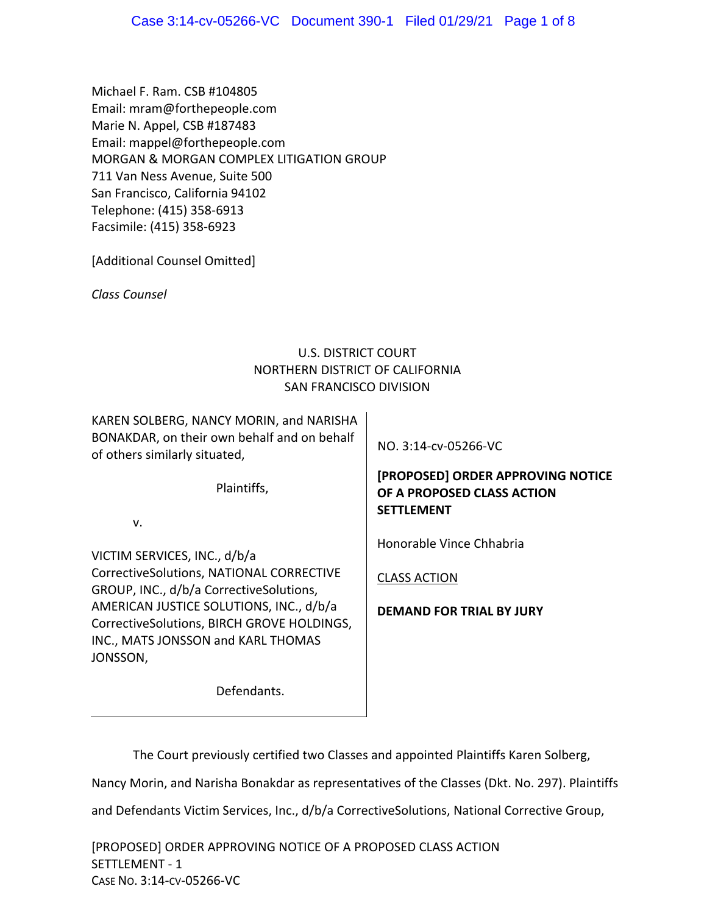Michael F. Ram. CSB #104805 Email: mram@forthepeople.com Marie N. Appel, CSB #187483 Email: mappel@forthepeople.com MORGAN & MORGAN COMPLEX LITIGATION GROUP 711 Van Ness Avenue, Suite 500 San Francisco, California 94102 Telephone: (415) 358‐6913 Facsimile: (415) 358‐6923

[Additional Counsel Omitted]

*Class Counsel* 

## U.S. DISTRICT COURT NORTHERN DISTRICT OF CALIFORNIA SAN FRANCISCO DIVISION

KAREN SOLBERG, NANCY MORIN, and NARISHA BONAKDAR, on their own behalf and on behalf of others similarly situated,

Plaintiffs,

v.

VICTIM SERVICES, INC., d/b/a CorrectiveSolutions, NATIONAL CORRECTIVE GROUP, INC., d/b/a CorrectiveSolutions, AMERICAN JUSTICE SOLUTIONS, INC., d/b/a CorrectiveSolutions, BIRCH GROVE HOLDINGS, INC., MATS JONSSON and KARL THOMAS JONSSON,

NO. 3:14‐cv‐05266‐VC

# **[PROPOSED] ORDER APPROVING NOTICE OF A PROPOSED CLASS ACTION SETTLEMENT**

Honorable Vince Chhabria

CLASS ACTION

**DEMAND FOR TRIAL BY JURY**

Defendants.

The Court previously certified two Classes and appointed Plaintiffs Karen Solberg,

Nancy Morin, and Narisha Bonakdar as representatives of the Classes (Dkt. No. 297). Plaintiffs

and Defendants Victim Services, Inc., d/b/a CorrectiveSolutions, National Corrective Group,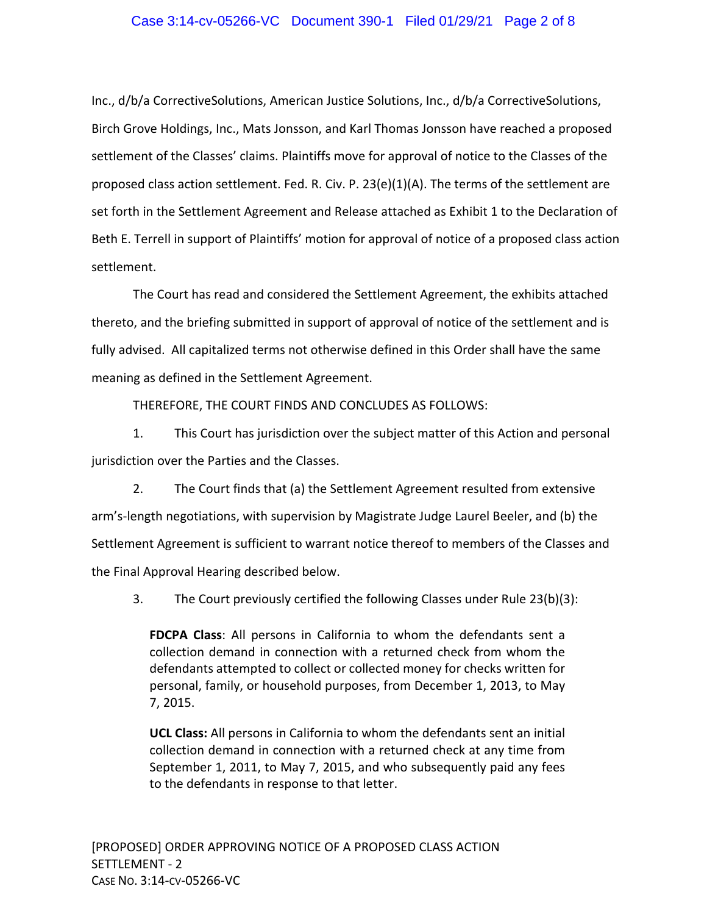## Case 3:14-cv-05266-VC Document 390-1 Filed 01/29/21 Page 2 of 8

Inc., d/b/a CorrectiveSolutions, American Justice Solutions, Inc., d/b/a CorrectiveSolutions, Birch Grove Holdings, Inc., Mats Jonsson, and Karl Thomas Jonsson have reached a proposed settlement of the Classes' claims. Plaintiffs move for approval of notice to the Classes of the proposed class action settlement. Fed. R. Civ. P. 23(e)(1)(A). The terms of the settlement are set forth in the Settlement Agreement and Release attached as Exhibit 1 to the Declaration of Beth E. Terrell in support of Plaintiffs' motion for approval of notice of a proposed class action settlement.

The Court has read and considered the Settlement Agreement, the exhibits attached thereto, and the briefing submitted in support of approval of notice of the settlement and is fully advised. All capitalized terms not otherwise defined in this Order shall have the same meaning as defined in the Settlement Agreement.

THEREFORE, THE COURT FINDS AND CONCLUDES AS FOLLOWS:

1. This Court has jurisdiction over the subject matter of this Action and personal jurisdiction over the Parties and the Classes.

2. The Court finds that (a) the Settlement Agreement resulted from extensive arm's‐length negotiations, with supervision by Magistrate Judge Laurel Beeler, and (b) the Settlement Agreement is sufficient to warrant notice thereof to members of the Classes and the Final Approval Hearing described below.

3. The Court previously certified the following Classes under Rule 23(b)(3):

**FDCPA Class**: All persons in California to whom the defendants sent a collection demand in connection with a returned check from whom the defendants attempted to collect or collected money for checks written for personal, family, or household purposes, from December 1, 2013, to May 7, 2015.

**UCL Class:** All persons in California to whom the defendants sent an initial collection demand in connection with a returned check at any time from September 1, 2011, to May 7, 2015, and who subsequently paid any fees to the defendants in response to that letter.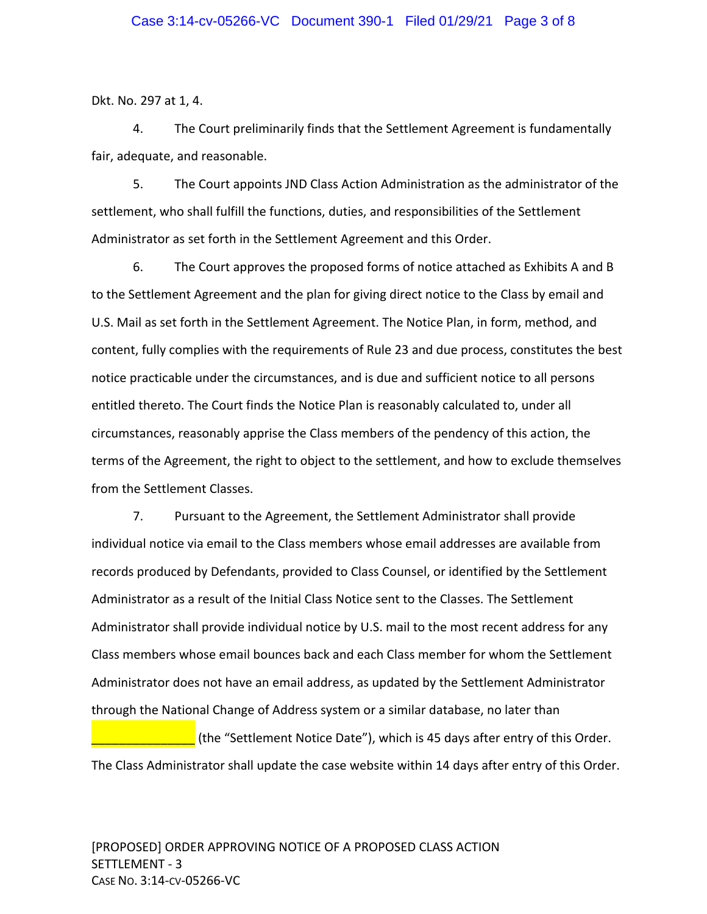Dkt. No. 297 at 1, 4.

4. The Court preliminarily finds that the Settlement Agreement is fundamentally fair, adequate, and reasonable.

5. The Court appoints JND Class Action Administration as the administrator of the settlement, who shall fulfill the functions, duties, and responsibilities of the Settlement Administrator as set forth in the Settlement Agreement and this Order.

6. The Court approves the proposed forms of notice attached as Exhibits A and B to the Settlement Agreement and the plan for giving direct notice to the Class by email and U.S. Mail as set forth in the Settlement Agreement. The Notice Plan, in form, method, and content, fully complies with the requirements of Rule 23 and due process, constitutes the best notice practicable under the circumstances, and is due and sufficient notice to all persons entitled thereto. The Court finds the Notice Plan is reasonably calculated to, under all circumstances, reasonably apprise the Class members of the pendency of this action, the terms of the Agreement, the right to object to the settlement, and how to exclude themselves from the Settlement Classes.

7. Pursuant to the Agreement, the Settlement Administrator shall provide individual notice via email to the Class members whose email addresses are available from records produced by Defendants, provided to Class Counsel, or identified by the Settlement Administrator as a result of the Initial Class Notice sent to the Classes. The Settlement Administrator shall provide individual notice by U.S. mail to the most recent address for any Class members whose email bounces back and each Class member for whom the Settlement Administrator does not have an email address, as updated by the Settlement Administrator through the National Change of Address system or a similar database, no later than

**LETT** (the "Settlement Notice Date"), which is 45 days after entry of this Order. The Class Administrator shall update the case website within 14 days after entry of this Order.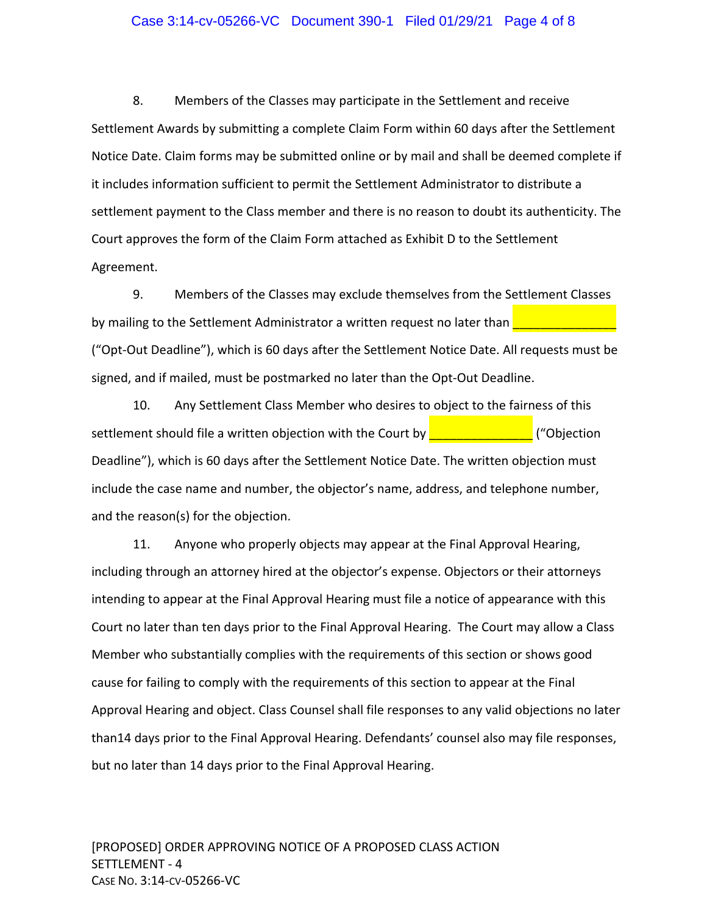#### Case 3:14-cv-05266-VC Document 390-1 Filed 01/29/21 Page 4 of 8

8. Members of the Classes may participate in the Settlement and receive Settlement Awards by submitting a complete Claim Form within 60 days after the Settlement Notice Date. Claim forms may be submitted online or by mail and shall be deemed complete if it includes information sufficient to permit the Settlement Administrator to distribute a settlement payment to the Class member and there is no reason to doubt its authenticity. The Court approves the form of the Claim Form attached as Exhibit D to the Settlement Agreement.

9. Members of the Classes may exclude themselves from the Settlement Classes by mailing to the Settlement Administrator a written request no later than ("Opt‐Out Deadline"), which is 60 days after the Settlement Notice Date. All requests must be signed, and if mailed, must be postmarked no later than the Opt‐Out Deadline.

10. Any Settlement Class Member who desires to object to the fairness of this settlement should file a written objection with the Court by  $\frac{1}{\sqrt{2\pi}}$   $\frac{1}{\sqrt{2\pi}}$  ("Objection Deadline"), which is 60 days after the Settlement Notice Date. The written objection must include the case name and number, the objector's name, address, and telephone number, and the reason(s) for the objection.

11. Anyone who properly objects may appear at the Final Approval Hearing, including through an attorney hired at the objector's expense. Objectors or their attorneys intending to appear at the Final Approval Hearing must file a notice of appearance with this Court no later than ten days prior to the Final Approval Hearing. The Court may allow a Class Member who substantially complies with the requirements of this section or shows good cause for failing to comply with the requirements of this section to appear at the Final Approval Hearing and object. Class Counsel shall file responses to any valid objections no later than14 days prior to the Final Approval Hearing. Defendants' counsel also may file responses, but no later than 14 days prior to the Final Approval Hearing.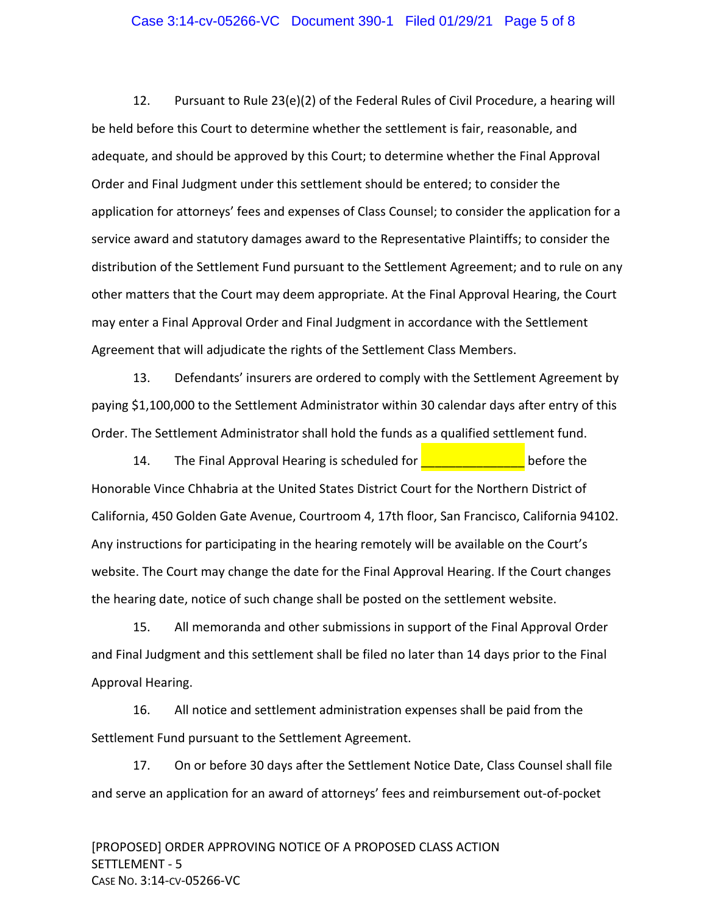#### Case 3:14-cv-05266-VC Document 390-1 Filed 01/29/21 Page 5 of 8

12. Pursuant to Rule 23(e)(2) of the Federal Rules of Civil Procedure, a hearing will be held before this Court to determine whether the settlement is fair, reasonable, and adequate, and should be approved by this Court; to determine whether the Final Approval Order and Final Judgment under this settlement should be entered; to consider the application for attorneys' fees and expenses of Class Counsel; to consider the application for a service award and statutory damages award to the Representative Plaintiffs; to consider the distribution of the Settlement Fund pursuant to the Settlement Agreement; and to rule on any other matters that the Court may deem appropriate. At the Final Approval Hearing, the Court may enter a Final Approval Order and Final Judgment in accordance with the Settlement Agreement that will adjudicate the rights of the Settlement Class Members.

13. Defendants' insurers are ordered to comply with the Settlement Agreement by paying \$1,100,000 to the Settlement Administrator within 30 calendar days after entry of this Order. The Settlement Administrator shall hold the funds as a qualified settlement fund.

14. The Final Approval Hearing is scheduled for **The Common Setting Section** before the Honorable Vince Chhabria at the United States District Court for the Northern District of California, 450 Golden Gate Avenue, Courtroom 4, 17th floor, San Francisco, California 94102. Any instructions for participating in the hearing remotely will be available on the Court's website. The Court may change the date for the Final Approval Hearing. If the Court changes the hearing date, notice of such change shall be posted on the settlement website.

15. All memoranda and other submissions in support of the Final Approval Order and Final Judgment and this settlement shall be filed no later than 14 days prior to the Final Approval Hearing.

16. All notice and settlement administration expenses shall be paid from the Settlement Fund pursuant to the Settlement Agreement.

17. On or before 30 days after the Settlement Notice Date, Class Counsel shall file and serve an application for an award of attorneys' fees and reimbursement out‐of‐pocket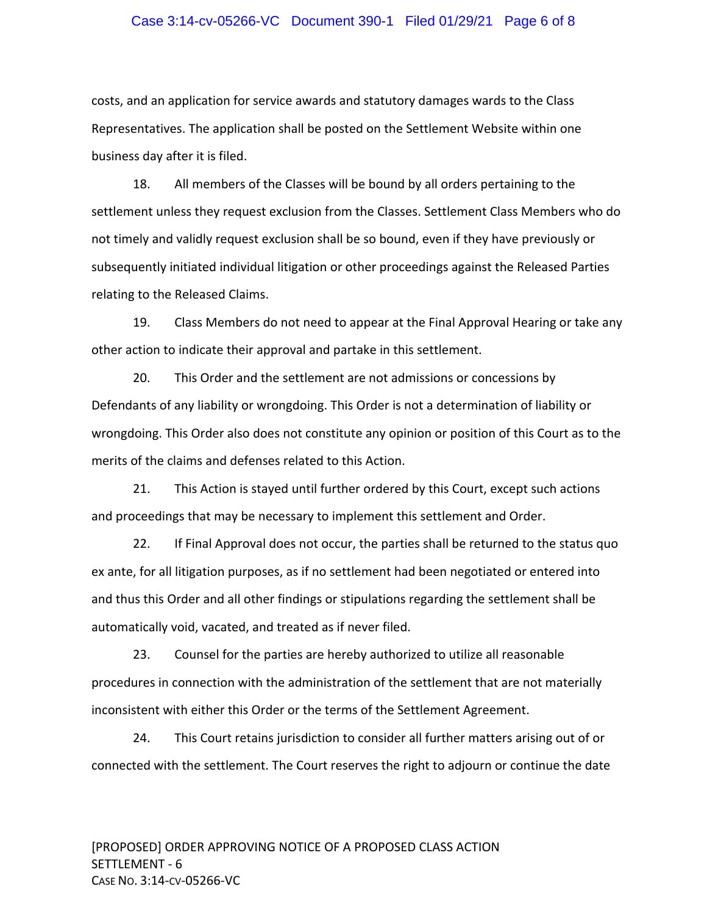#### Case 3:14-cv-05266-VC Document 390-1 Filed 01/29/21 Page 6 of 8

costs, and an application for service awards and statutory damages wards to the Class Representatives. The application shall be posted on the Settlement Website within one business day after it is filed.

18. All members of the Classes will be bound by all orders pertaining to the settlement unless they request exclusion from the Classes. Settlement Class Members who do not timely and validly request exclusion shall be so bound, even if they have previously or subsequently initiated individual litigation or other proceedings against the Released Parties relating to the Released Claims.

19. Class Members do not need to appear at the Final Approval Hearing or take any other action to indicate their approval and partake in this settlement.

20. This Order and the settlement are not admissions or concessions by Defendants of any liability or wrongdoing. This Order is not a determination of liability or wrongdoing. This Order also does not constitute any opinion or position of this Court as to the merits of the claims and defenses related to this Action.

21. This Action is stayed until further ordered by this Court, except such actions and proceedings that may be necessary to implement this settlement and Order.

22. If Final Approval does not occur, the parties shall be returned to the status quo ex ante, for all litigation purposes, as if no settlement had been negotiated or entered into and thus this Order and all other findings or stipulations regarding the settlement shall be automatically void, vacated, and treated as if never filed.

23. Counsel for the parties are hereby authorized to utilize all reasonable procedures in connection with the administration of the settlement that are not materially inconsistent with either this Order or the terms of the Settlement Agreement.

24. This Court retains jurisdiction to consider all further matters arising out of or connected with the settlement. The Court reserves the right to adjourn or continue the date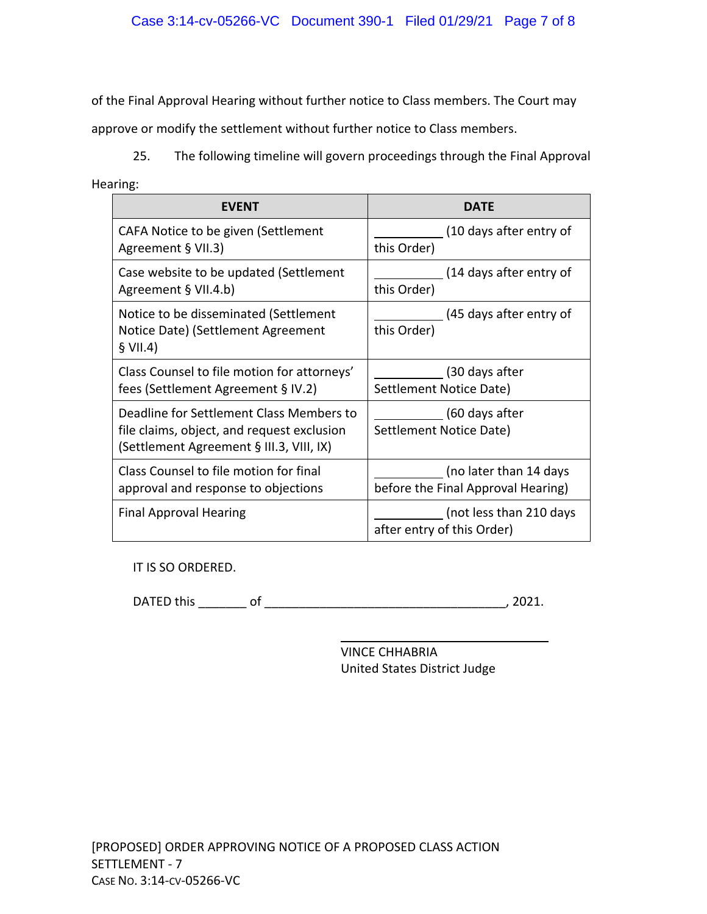of the Final Approval Hearing without further notice to Class members. The Court may

approve or modify the settlement without further notice to Class members.

25. The following timeline will govern proceedings through the Final Approval

Hearing:

| <b>FVFNT</b>                                                                                                                       | DATF                                                  |
|------------------------------------------------------------------------------------------------------------------------------------|-------------------------------------------------------|
| CAFA Notice to be given (Settlement                                                                                                | (10 days after entry of                               |
| Agreement § VII.3)                                                                                                                 | this Order)                                           |
| Case website to be updated (Settlement                                                                                             | (14 days after entry of                               |
| Agreement § VII.4.b)                                                                                                               | this Order)                                           |
| Notice to be disseminated (Settlement<br>Notice Date) (Settlement Agreement<br>\$ VII.4)                                           | (45 days after entry of<br>this Order)                |
| Class Counsel to file motion for attorneys'                                                                                        | (30 days after                                        |
| fees (Settlement Agreement § IV.2)                                                                                                 | Settlement Notice Date)                               |
| Deadline for Settlement Class Members to<br>file claims, object, and request exclusion<br>(Settlement Agreement § III.3, VIII, IX) | (60 days after<br>Settlement Notice Date)             |
| Class Counsel to file motion for final                                                                                             | (no later than 14 days                                |
| approval and response to objections                                                                                                | before the Final Approval Hearing)                    |
| <b>Final Approval Hearing</b>                                                                                                      | (not less than 210 days<br>after entry of this Order) |

IT IS SO ORDERED.

DATED this \_\_\_\_\_\_\_ of \_\_\_\_\_\_\_\_\_\_\_\_\_\_\_\_\_\_\_\_\_\_\_\_\_\_\_\_\_\_\_\_\_\_\_, 2021.

VINCE CHHABRIA United States District Judge